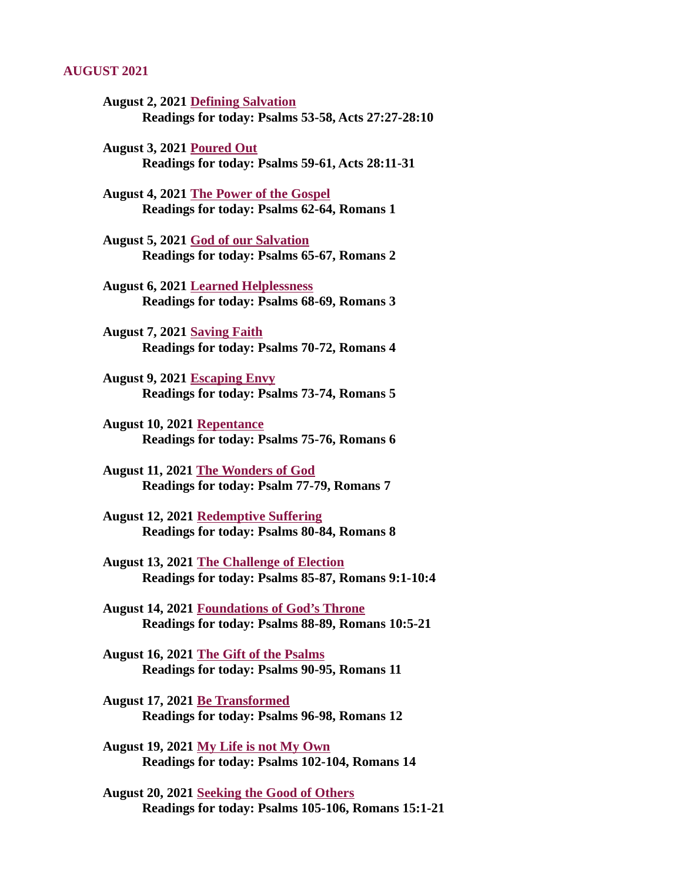#### AUGUST 2021

- August 2, 2021 Defining Salvation [Readings for today: Psalms 53-58, Acts 27:27-28:10](#page-2-0)
- August 3, 2021 Poured Out [Readings for today: Psalms 59-61, Acts 28:11-31](#page-4-0)
- August 4, 2021 The Power of the Gospel [Readings for today: Psalms 62-64, Romans 1](#page-5-0)
- August 5, 2021 God of our Salvation [Readings for today: Psalms 65-67, Romans 2](#page-7-0)
- August 6, 2021 Learned Helplessness [Readings for today: Psalms 68-69, Romans 3](#page-8-0)
- August 7, 2021 Saving Faith [Readings for today: Psalms 70-72, Romans 4](#page-9-0)
- August 9, 2021 Escaping Envy [Readings for today: Psalms 73-74, Romans 5](#page-11-0)
- August 10, 2021 Repentance [Readings for today: Psalms 75-76, Romans 6](#page-13-0)
- August 11, 2021 The Wonders of God [Readings for today: Psalm 77-79, Romans 7](#page-14-0)
- August 12, 2021 Redemptive Suffering [Readings for today: Psalms 80-84, Romans 8](#page-16-0)
- August 13, 2021 The Challenge of Election [Readings for today: Psalms 85-87, Romans 9:1-10:4](#page-17-0)
- August 14, 2021 Foundations of God's Throne [Readings for today: Psalms 88-89, Romans 10:5-21](#page-18-0)
- August 16, 2021 The Gift of the Psalms [Readings for today: Psalms 90-95, Romans 11](#page-19-0)
- August 17, 2021 Be Transformed [Readings for today: Psalms 96-98, Romans 12](#page-21-0)
- August 19, 2021 My Life is not My Own [Readings for today: Psalms 102-104, Romans 14](#page-22-0)
- August 20, 2021 Seeking the Good of Others [Readings for today: Psalms 105-106, Romans 15:1-21](#page-23-0)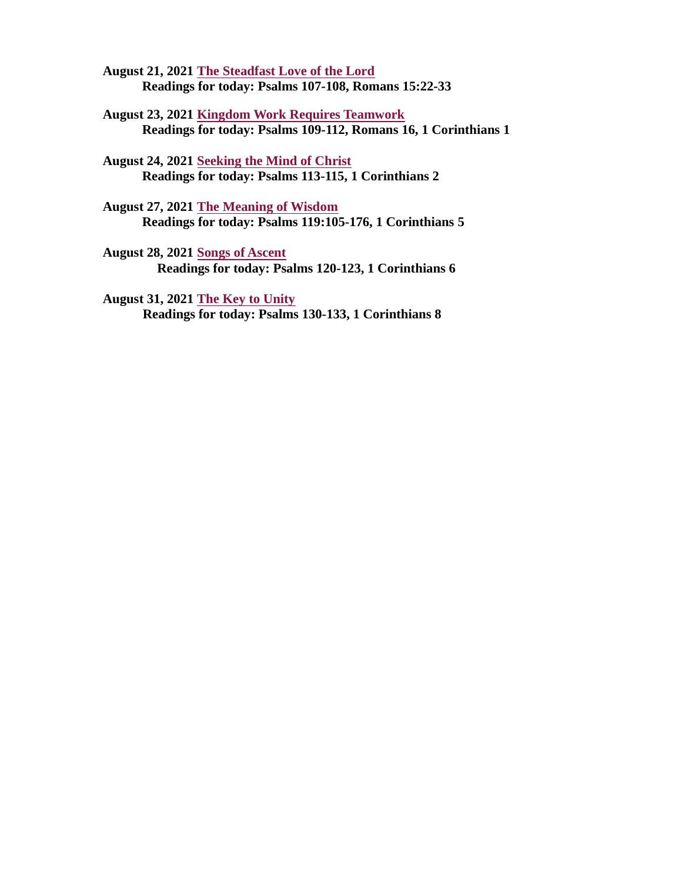- August 21, 2021 The Steadfast Love of the Lord [Readings for today: Psalms 107-108, Romans 15:22-33](#page-25-0)
- August 23, 2021 Kingdom Work Requires Teamwork [Readings for today: Psalms 109-112, Romans 16, 1 Corinthians 1](#page-26-0)
- August 24, 2021 Seeking the Mind of Christ [Readings for today: Psalms 113-115, 1 Corinthians 2](#page-27-0)
- August 27, 2021 The Meaning of Wisdom [Readings for today: Psalms 119:105-176, 1 Corinthians 5](#page-29-0)
- [August 28, 2021 Songs of Ascent](#page-31-0) Readings for today: Psalms 120-123, 1 Corinthians 6
- August 31, 2021 **The Key to Unity** Readings for today: **Psalms 130-133, 1 [Corinthians](#page-33-0) 8**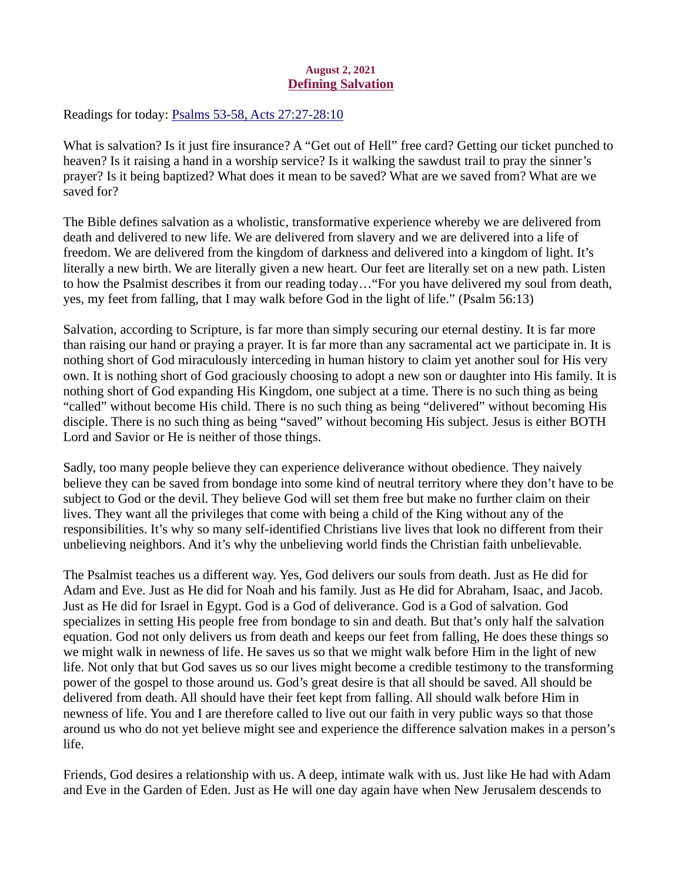## August 2, 2021 Defining Salvation

<span id="page-2-0"></span>Readings for today: **Psalms 53-58, Acts 27:27-28:10** 

What is salvation? Is it just fire insurance? A "Get out of Hell" free card? Getting our ticket punched to heaven? Is it raising a hand in a worship service? Is it walking the sawdust trail to pray the sinner's prayer? Is it being baptized? What does it mean to be saved? What are we saved from? What are we saved for?

The Bible defines salvation as a wholistic, transformative experience whereby we are delivered from death and delivered to new life. We are delivered from slavery and we are delivered into a life of freedom. We are delivered from the kingdom of darkness and delivered into a kingdom of light. It's literally a new birth. We are literally given a new heart. Our feet are literally set on a new path. Listen to how the Psalmist describes it from our reading today…"For you have delivered my soul from death, yes, my feet from falling, that I may walk before God in the light of life." (Psalm 56:13)

Salvation, according to Scripture, is far more than simply securing our eternal destiny. It is far more than raising our hand or praying a prayer. It is far more than any sacramental act we participate in. It is nothing short of God miraculously interceding in human history to claim yet another soul for His very own. It is nothing short of God graciously choosing to adopt a new son or daughter into His family. It is nothing short of God expanding His Kingdom, one subject at a time. There is no such thing as being "called" without become His child. There is no such thing as being "delivered" without becoming His disciple. There is no such thing as being "saved" without becoming His subject. Jesus is either BOTH Lord and Savior or He is neither of those things.

Sadly, too many people believe they can experience deliverance without obedience. They naively believe they can be saved from bondage into some kind of neutral territory where they don't have to be subject to God or the devil. They believe God will set them free but make no further claim on their lives. They want all the privileges that come with being a child of the King without any of the responsibilities. It's why so many self-identified Christians live lives that look no different from their unbelieving neighbors. And it's why the unbelieving world finds the Christian faith unbelievable.

The Psalmist teaches us a different way. Yes, God delivers our souls from death. Just as He did for Adam and Eve. Just as He did for Noah and his family. Just as He did for Abraham, Isaac, and Jacob. Just as He did for Israel in Egypt. God is a God of deliverance. God is a God of salvation. God specializes in setting His people free from bondage to sin and death. But that's only half the salvation equation. God not only delivers us from death and keeps our feet from falling, He does these things so we might walk in newness of life. He saves us so that we might walk before Him in the light of new life. Not only that but God saves us so our lives might become a credible testimony to the transforming power of the gospel to those around us. God's great desire is that all should be saved. All should be delivered from death. All should have their feet kept from falling. All should walk before Him in newness of life. You and I are therefore called to live out our faith in very public ways so that those around us who do not yet believe might see and experience the difference salvation makes in a person's life.

Friends, God desires a relationship with us. A deep, intimate walk with us. Just like He had with Adam and Eve in the Garden of Eden. Just as He will one day again have when New Jerusalem descends to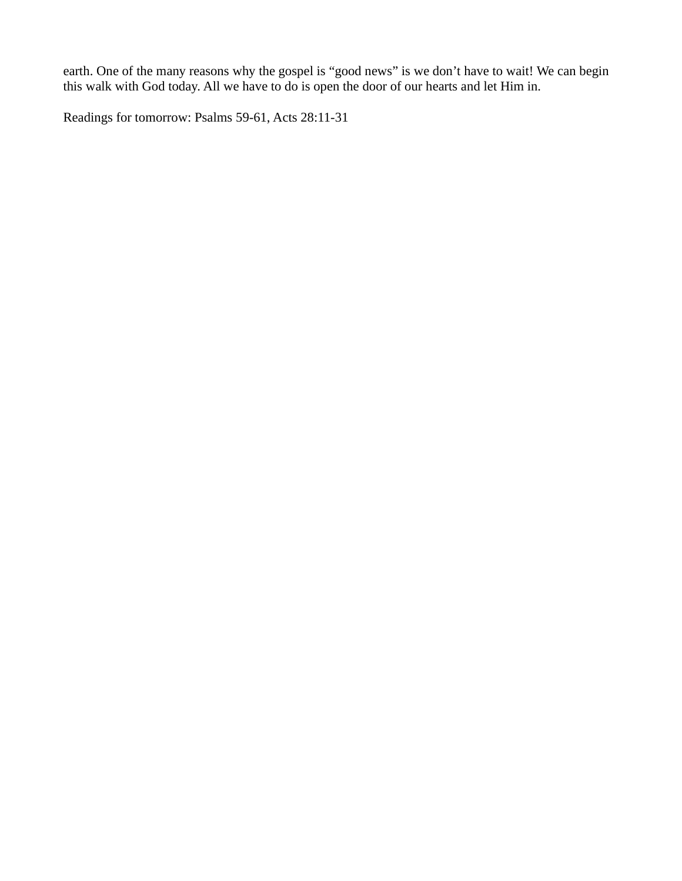earth. One of the many reasons why the gospel is "good news" is we don't have to wait! We can begin this walk with God today. All we have to do is open the door of our hearts and let Him in.

Readings for tomorrow: Psalms 59-61, Acts 28:11-31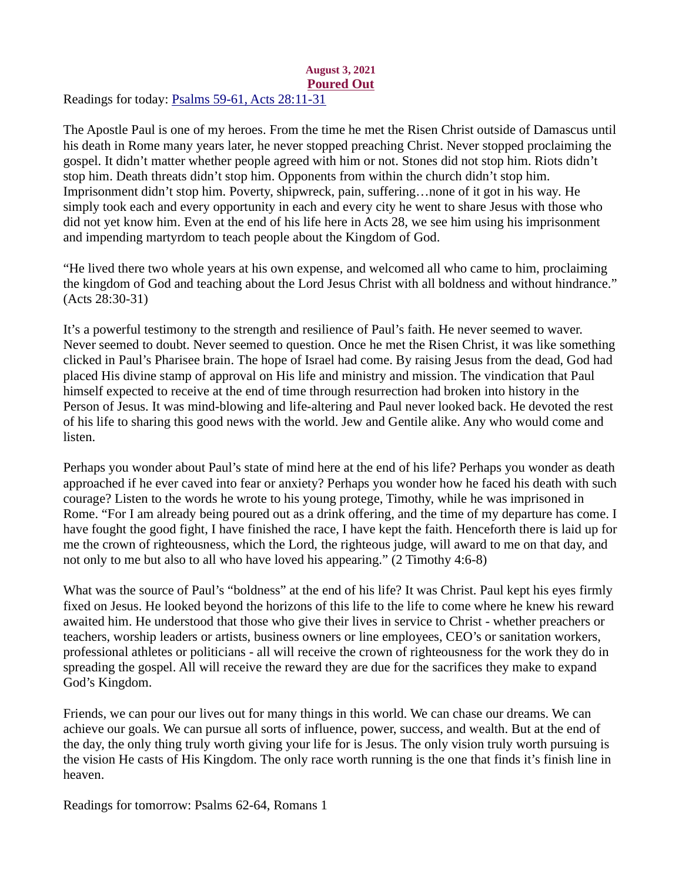#### August 3, 2021 Poured Out

<span id="page-4-0"></span>Readings for today[: Psalms 59-61, Acts 28:11-31](https://www.biblegateway.com/passage/?search=Psalms+59-61%2C+Acts+28%3A11-31&version=ESV)

The Apostle Paul is one of my heroes. From the time he met the Risen Christ outside of Damascus until his death in Rome many years later, he never stopped preaching Christ. Never stopped proclaiming the gospel. It didn't matter whether people agreed with him or not. Stones did not stop him. Riots didn't stop him. Death threats didn't stop him. Opponents from within the church didn't stop him. Imprisonment didn't stop him. Poverty, shipwreck, pain, suffering…none of it got in his way. He simply took each and every opportunity in each and every city he went to share Jesus with those who did not yet know him. Even at the end of his life here in Acts 28, we see him using his imprisonment and impending martyrdom to teach people about the Kingdom of God.

"He lived there two whole years at his own expense, and welcomed all who came to him, proclaiming the kingdom of God and teaching about the Lord Jesus Christ with all boldness and without hindrance." (Acts 28:30-31)

It's a powerful testimony to the strength and resilience of Paul's faith. He never seemed to waver. Never seemed to doubt. Never seemed to question. Once he met the Risen Christ, it was like something clicked in Paul's Pharisee brain. The hope of Israel had come. By raising Jesus from the dead, God had placed His divine stamp of approval on His life and ministry and mission. The vindication that Paul himself expected to receive at the end of time through resurrection had broken into history in the Person of Jesus. It was mind-blowing and life-altering and Paul never looked back. He devoted the rest of his life to sharing this good news with the world. Jew and Gentile alike. Any who would come and listen.

Perhaps you wonder about Paul's state of mind here at the end of his life? Perhaps you wonder as death approached if he ever caved into fear or anxiety? Perhaps you wonder how he faced his death with such courage? Listen to the words he wrote to his young protege, Timothy, while he was imprisoned in Rome. "For I am already being poured out as a drink offering, and the time of my departure has come. I have fought the good fight, I have finished the race, I have kept the faith. Henceforth there is laid up for me the crown of righteousness, which the Lord, the righteous judge, will award to me on that day, and not only to me but also to all who have loved his appearing." (2 Timothy 4:6-8)

What was the source of Paul's "boldness" at the end of his life? It was Christ. Paul kept his eyes firmly fixed on Jesus. He looked beyond the horizons of this life to the life to come where he knew his reward awaited him. He understood that those who give their lives in service to Christ - whether preachers or teachers, worship leaders or artists, business owners or line employees, CEO's or sanitation workers, professional athletes or politicians - all will receive the crown of righteousness for the work they do in spreading the gospel. All will receive the reward they are due for the sacrifices they make to expand God's Kingdom.

Friends, we can pour our lives out for many things in this world. We can chase our dreams. We can achieve our goals. We can pursue all sorts of influence, power, success, and wealth. But at the end of the day, the only thing truly worth giving your life for is Jesus. The only vision truly worth pursuing is the vision He casts of His Kingdom. The only race worth running is the one that finds it's finish line in heaven.

Readings for tomorrow: Psalms 62-64, Romans 1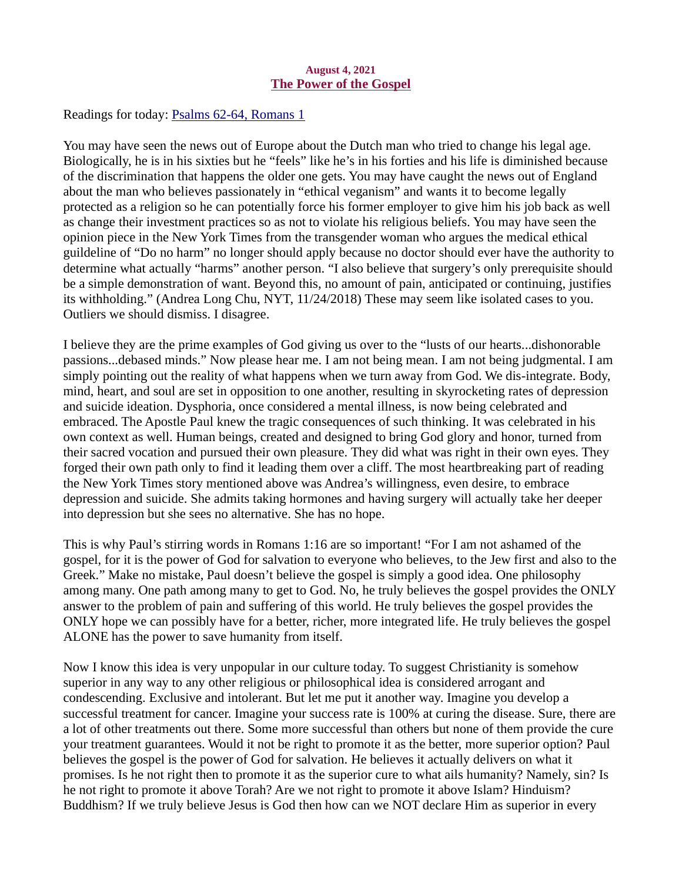#### August 4, 2021 The Power of the Gospel

<span id="page-5-0"></span>Readings for today[: Psalms 62-64, Romans 1](https://www.biblegateway.com/passage/?search=Psalms+62-64%2C+Romans+1&version=ESV)

You may have seen the news out of Europe about the Dutch man who tried to change his legal age. Biologically, he is in his sixties but he "feels" like he's in his forties and his life is diminished because of the discrimination that happens the older one gets. You may have caught the news out of England about the man who believes passionately in "ethical veganism" and wants it to become legally protected as a religion so he can potentially force his former employer to give him his job back as well as change their investment practices so as not to violate his religious beliefs. You may have seen the opinion piece in the New York Times from the transgender woman who argues the medical ethical guildeline of "Do no harm" no longer should apply because no doctor should ever have the authority to determine what actually "harms" another person. "I also believe that surgery's only prerequisite should be a simple demonstration of want. Beyond this, no amount of pain, anticipated or continuing, justifies its withholding." (Andrea Long Chu, NYT, 11/24/2018) These may seem like isolated cases to you. Outliers we should dismiss. I disagree.

I believe they are the prime examples of God giving us over to the "lusts of our hearts...dishonorable passions...debased minds." Now please hear me. I am not being mean. I am not being judgmental. I am simply pointing out the reality of what happens when we turn away from God. We dis-integrate. Body, mind, heart, and soul are set in opposition to one another, resulting in skyrocketing rates of depression and suicide ideation. Dysphoria, once considered a mental illness, is now being celebrated and embraced. The Apostle Paul knew the tragic consequences of such thinking. It was celebrated in his own context as well. Human beings, created and designed to bring God glory and honor, turned from their sacred vocation and pursued their own pleasure. They did what was right in their own eyes. They forged their own path only to find it leading them over a cliff. The most heartbreaking part of reading the New York Times story mentioned above was Andrea's willingness, even desire, to embrace depression and suicide. She admits taking hormones and having surgery will actually take her deeper into depression but she sees no alternative. She has no hope.

This is why Paul's stirring words in Romans 1:16 are so important! "For I am not ashamed of the gospel, for it is the power of God for salvation to everyone who believes, to the Jew first and also to the Greek." Make no mistake, Paul doesn't believe the gospel is simply a good idea. One philosophy among many. One path among many to get to God. No, he truly believes the gospel provides the ONLY answer to the problem of pain and suffering of this world. He truly believes the gospel provides the ONLY hope we can possibly have for a better, richer, more integrated life. He truly believes the gospel ALONE has the power to save humanity from itself.

Now I know this idea is very unpopular in our culture today. To suggest Christianity is somehow superior in any way to any other religious or philosophical idea is considered arrogant and condescending. Exclusive and intolerant. But let me put it another way. Imagine you develop a successful treatment for cancer. Imagine your success rate is 100% at curing the disease. Sure, there are a lot of other treatments out there. Some more successful than others but none of them provide the cure your treatment guarantees. Would it not be right to promote it as the better, more superior option? Paul believes the gospel is the power of God for salvation. He believes it actually delivers on what it promises. Is he not right then to promote it as the superior cure to what ails humanity? Namely, sin? Is he not right to promote it above Torah? Are we not right to promote it above Islam? Hinduism? Buddhism? If we truly believe Jesus is God then how can we NOT declare Him as superior in every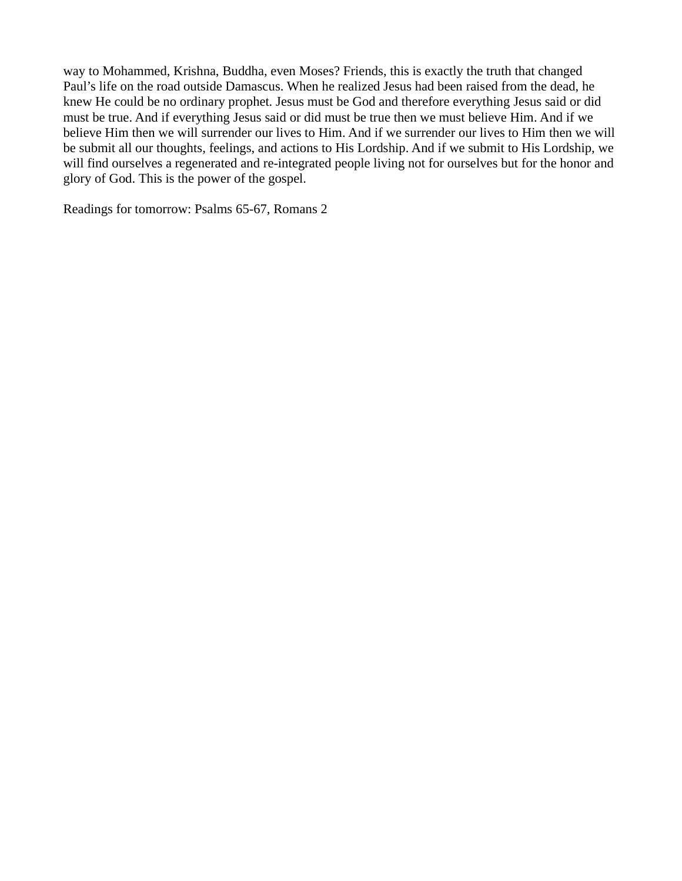way to Mohammed, Krishna, Buddha, even Moses? Friends, this is exactly the truth that changed Paul's life on the road outside Damascus. When he realized Jesus had been raised from the dead, he knew He could be no ordinary prophet. Jesus must be God and therefore everything Jesus said or did must be true. And if everything Jesus said or did must be true then we must believe Him. And if we believe Him then we will surrender our lives to Him. And if we surrender our lives to Him then we will be submit all our thoughts, feelings, and actions to His Lordship. And if we submit to His Lordship, we will find ourselves a regenerated and re-integrated people living not for ourselves but for the honor and glory of God. This is the power of the gospel.

Readings for tomorrow: Psalms 65-67, Romans 2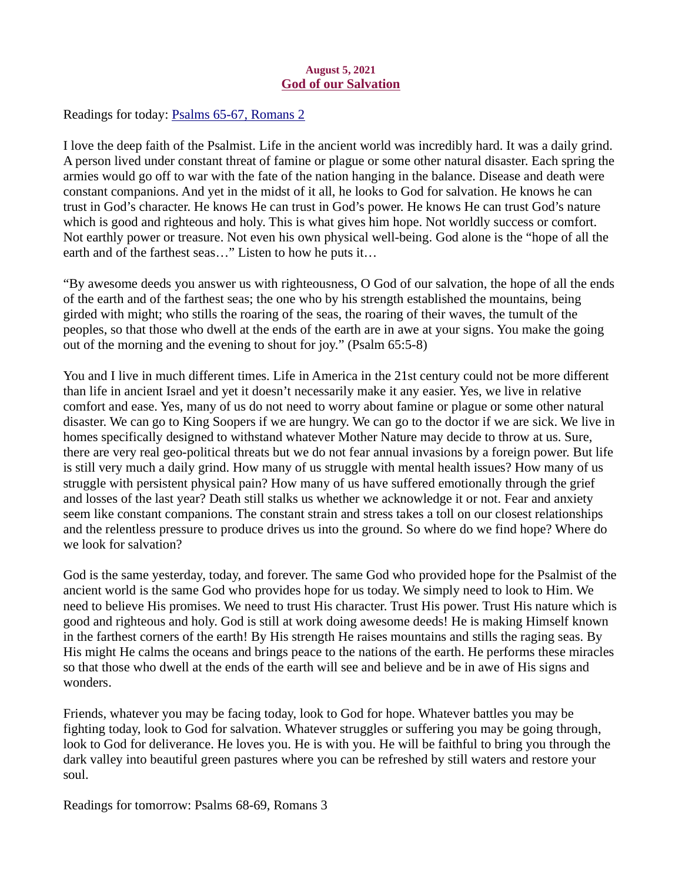#### August 5, 2021 God of our Salvation

<span id="page-7-0"></span>Readings for toda[y: Psalms 65-67, Romans 2](https://www.biblegateway.com/passage/?search=Psalms+65-67%2C+Romans+2&version=ESV)

I love the deep faith of the Psalmist. Life in the ancient world was incredibly hard. It was a daily grind. A person lived under constant threat of famine or plague or some other natural disaster. Each spring the armies would go off to war with the fate of the nation hanging in the balance. Disease and death were constant companions. And yet in the midst of it all, he looks to God for salvation. He knows he can trust in God's character. He knows He can trust in God's power. He knows He can trust God's nature which is good and righteous and holy. This is what gives him hope. Not worldly success or comfort. Not earthly power or treasure. Not even his own physical well-being. God alone is the "hope of all the earth and of the farthest seas…" Listen to how he puts it…

"By awesome deeds you answer us with righteousness, O God of our salvation, the hope of all the ends of the earth and of the farthest seas; the one who by his strength established the mountains, being girded with might; who stills the roaring of the seas, the roaring of their waves, the tumult of the peoples, so that those who dwell at the ends of the earth are in awe at your signs. You make the going out of the morning and the evening to shout for joy." (Psalm 65:5-8)

You and I live in much different times. Life in America in the 21st century could not be more different than life in ancient Israel and yet it doesn't necessarily make it any easier. Yes, we live in relative comfort and ease. Yes, many of us do not need to worry about famine or plague or some other natural disaster. We can go to King Soopers if we are hungry. We can go to the doctor if we are sick. We live in homes specifically designed to withstand whatever Mother Nature may decide to throw at us. Sure, there are very real geo-political threats but we do not fear annual invasions by a foreign power. But life is still very much a daily grind. How many of us struggle with mental health issues? How many of us struggle with persistent physical pain? How many of us have suffered emotionally through the grief and losses of the last year? Death still stalks us whether we acknowledge it or not. Fear and anxiety seem like constant companions. The constant strain and stress takes a toll on our closest relationships and the relentless pressure to produce drives us into the ground. So where do we find hope? Where do we look for salvation?

God is the same yesterday, today, and forever. The same God who provided hope for the Psalmist of the ancient world is the same God who provides hope for us today. We simply need to look to Him. We need to believe His promises. We need to trust His character. Trust His power. Trust His nature which is good and righteous and holy. God is still at work doing awesome deeds! He is making Himself known in the farthest corners of the earth! By His strength He raises mountains and stills the raging seas. By His might He calms the oceans and brings peace to the nations of the earth. He performs these miracles so that those who dwell at the ends of the earth will see and believe and be in awe of His signs and wonders.

Friends, whatever you may be facing today, look to God for hope. Whatever battles you may be fighting today, look to God for salvation. Whatever struggles or suffering you may be going through, look to God for deliverance. He loves you. He is with you. He will be faithful to bring you through the dark valley into beautiful green pastures where you can be refreshed by still waters and restore your soul.

Readings for tomorrow: Psalms 68-69, Romans 3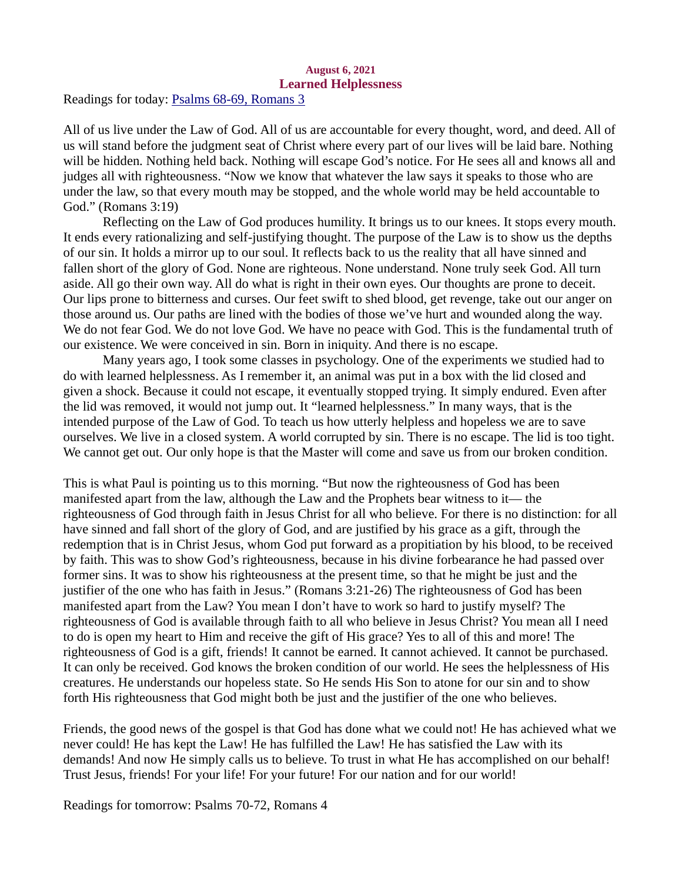# August 6, 2021 Learned Helplessness

<span id="page-8-0"></span>Readings for today[: Psalms 68-69, Romans 3](https://www.biblegateway.com/passage/?search=Psalms+68-69%2C+Romans+3&version=ESV)

All of us live under the Law of God. All of us are accountable for every thought, word, and deed. All of us will stand before the judgment seat of Christ where every part of our lives will be laid bare. Nothing will be hidden. Nothing held back. Nothing will escape God's notice. For He sees all and knows all and judges all with righteousness. "Now we know that whatever the law says it speaks to those who are under the law, so that every mouth may be stopped, and the whole world may be held accountable to God." (Romans 3:19)

Reflecting on the Law of God produces humility. It brings us to our knees. It stops every mouth. It ends every rationalizing and self-justifying thought. The purpose of the Law is to show us the depths of our sin. It holds a mirror up to our soul. It reflects back to us the reality that all have sinned and fallen short of the glory of God. None are righteous. None understand. None truly seek God. All turn aside. All go their own way. All do what is right in their own eyes. Our thoughts are prone to deceit. Our lips prone to bitterness and curses. Our feet swift to shed blood, get revenge, take out our anger on those around us. Our paths are lined with the bodies of those we've hurt and wounded along the way. We do not fear God. We do not love God. We have no peace with God. This is the fundamental truth of our existence. We were conceived in sin. Born in iniquity. And there is no escape.

Many years ago, I took some classes in psychology. One of the experiments we studied had to do with learned helplessness. As I remember it, an animal was put in a box with the lid closed and given a shock. Because it could not escape, it eventually stopped trying. It simply endured. Even after the lid was removed, it would not jump out. It "learned helplessness." In many ways, that is the intended purpose of the Law of God. To teach us how utterly helpless and hopeless we are to save ourselves. We live in a closed system. A world corrupted by sin. There is no escape. The lid is too tight. We cannot get out. Our only hope is that the Master will come and save us from our broken condition.

This is what Paul is pointing us to this morning. "But now the righteousness of God has been manifested apart from the law, although the Law and the Prophets bear witness to it— the righteousness of God through faith in Jesus Christ for all who believe. For there is no distinction: for all have sinned and fall short of the glory of God, and are justified by his grace as a gift, through the redemption that is in Christ Jesus, whom God put forward as a propitiation by his blood, to be received by faith. This was to show God's righteousness, because in his divine forbearance he had passed over former sins. It was to show his righteousness at the present time, so that he might be just and the justifier of the one who has faith in Jesus." (Romans 3:21-26) The righteousness of God has been manifested apart from the Law? You mean I don't have to work so hard to justify myself? The righteousness of God is available through faith to all who believe in Jesus Christ? You mean all I need to do is open my heart to Him and receive the gift of His grace? Yes to all of this and more! The righteousness of God is a gift, friends! It cannot be earned. It cannot achieved. It cannot be purchased. It can only be received. God knows the broken condition of our world. He sees the helplessness of His creatures. He understands our hopeless state. So He sends His Son to atone for our sin and to show forth His righteousness that God might both be just and the justifier of the one who believes.

Friends, the good news of the gospel is that God has done what we could not! He has achieved what we never could! He has kept the Law! He has fulfilled the Law! He has satisfied the Law with its demands! And now He simply calls us to believe. To trust in what He has accomplished on our behalf! Trust Jesus, friends! For your life! For your future! For our nation and for our world!

Readings for tomorrow: Psalms 70-72, Romans 4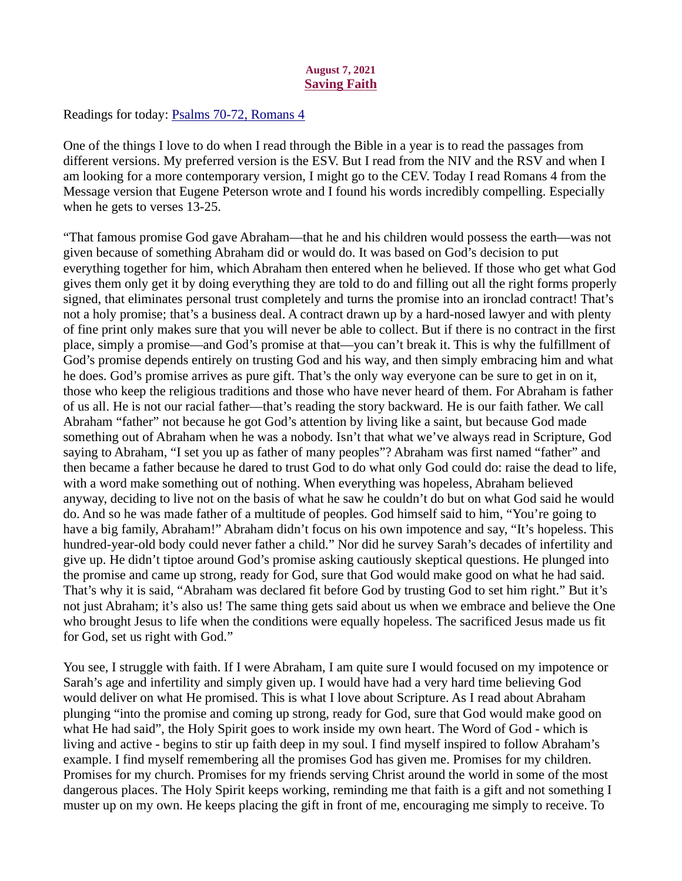#### August 7, 2021 Saving Faith

<span id="page-9-0"></span>Readings for today[: Psalms 70-72, Romans 4](https://www.biblegateway.com/passage/?search=Psalms+70-72%2C+Romans+4&version=ESV)

One of the things I love to do when I read through the Bible in a year is to read the passages from different versions. My preferred version is the ESV. But I read from the NIV and the RSV and when I am looking for a more contemporary version, I might go to the CEV. Today I read Romans 4 from the Message version that Eugene Peterson wrote and I found his words incredibly compelling. Especially when he gets to verses 13-25.

"That famous promise God gave Abraham—that he and his children would possess the earth—was not given because of something Abraham did or would do. It was based on God's decision to put everything together for him, which Abraham then entered when he believed. If those who get what God gives them only get it by doing everything they are told to do and filling out all the right forms properly signed, that eliminates personal trust completely and turns the promise into an ironclad contract! That's not a holy promise; that's a business deal. A contract drawn up by a hard-nosed lawyer and with plenty of fine print only makes sure that you will never be able to collect. But if there is no contract in the first place, simply a promise—and God's promise at that—you can't break it. This is why the fulfillment of God's promise depends entirely on trusting God and his way, and then simply embracing him and what he does. God's promise arrives as pure gift. That's the only way everyone can be sure to get in on it, those who keep the religious traditions and those who have never heard of them. For Abraham is father of us all. He is not our racial father—that's reading the story backward. He is our faith father. We call Abraham "father" not because he got God's attention by living like a saint, but because God made something out of Abraham when he was a nobody. Isn't that what we've always read in Scripture, God saying to Abraham, "I set you up as father of many peoples"? Abraham was first named "father" and then became a father because he dared to trust God to do what only God could do: raise the dead to life, with a word make something out of nothing. When everything was hopeless, Abraham believed anyway, deciding to live not on the basis of what he saw he couldn't do but on what God said he would do. And so he was made father of a multitude of peoples. God himself said to him, "You're going to have a big family, Abraham!" Abraham didn't focus on his own impotence and say, "It's hopeless. This hundred-year-old body could never father a child." Nor did he survey Sarah's decades of infertility and give up. He didn't tiptoe around God's promise asking cautiously skeptical questions. He plunged into the promise and came up strong, ready for God, sure that God would make good on what he had said. That's why it is said, "Abraham was declared fit before God by trusting God to set him right." But it's not just Abraham; it's also us! The same thing gets said about us when we embrace and believe the One who brought Jesus to life when the conditions were equally hopeless. The sacrificed Jesus made us fit for God, set us right with God."

You see, I struggle with faith. If I were Abraham, I am quite sure I would focused on my impotence or Sarah's age and infertility and simply given up. I would have had a very hard time believing God would deliver on what He promised. This is what I love about Scripture. As I read about Abraham plunging "into the promise and coming up strong, ready for God, sure that God would make good on what He had said", the Holy Spirit goes to work inside my own heart. The Word of God - which is living and active - begins to stir up faith deep in my soul. I find myself inspired to follow Abraham's example. I find myself remembering all the promises God has given me. Promises for my children. Promises for my church. Promises for my friends serving Christ around the world in some of the most dangerous places. The Holy Spirit keeps working, reminding me that faith is a gift and not something I muster up on my own. He keeps placing the gift in front of me, encouraging me simply to receive. To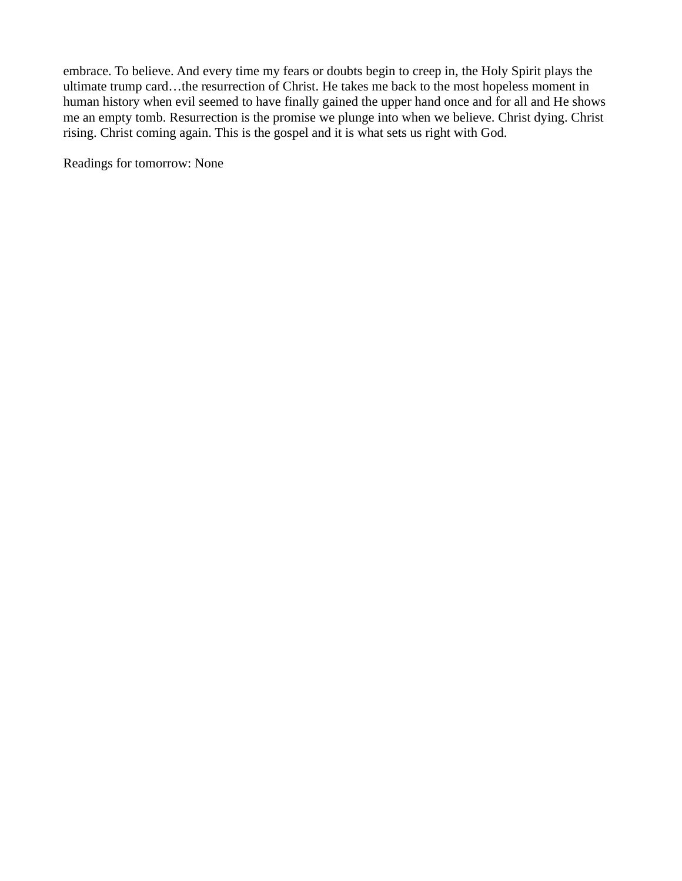embrace. To believe. And every time my fears or doubts begin to creep in, the Holy Spirit plays the ultimate trump card…the resurrection of Christ. He takes me back to the most hopeless moment in human history when evil seemed to have finally gained the upper hand once and for all and He shows me an empty tomb. Resurrection is the promise we plunge into when we believe. Christ dying. Christ rising. Christ coming again. This is the gospel and it is what sets us right with God.

Readings for tomorrow: None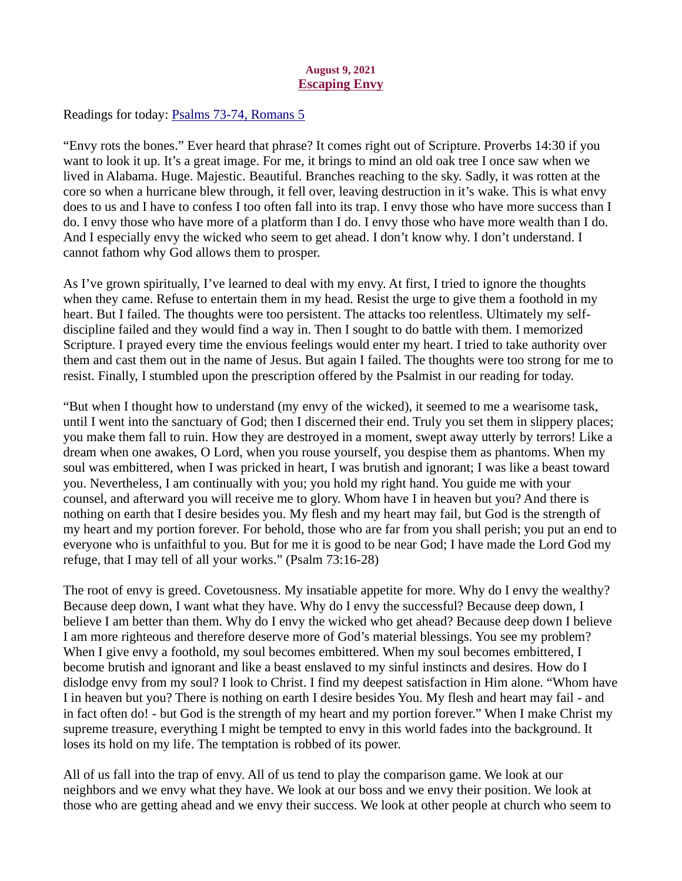## August 9, 2021 Escaping Envy

<span id="page-11-0"></span>Readings for toda[y: Psalms 73-74, Romans 5](https://www.biblegateway.com/passage/?search=Psalms+73-74%2C+Romans+5&version=ESV)

"Envy rots the bones." Ever heard that phrase? It comes right out of Scripture. Proverbs 14:30 if you want to look it up. It's a great image. For me, it brings to mind an old oak tree I once saw when we lived in Alabama. Huge. Majestic. Beautiful. Branches reaching to the sky. Sadly, it was rotten at the core so when a hurricane blew through, it fell over, leaving destruction in it's wake. This is what envy does to us and I have to confess I too often fall into its trap. I envy those who have more success than I do. I envy those who have more of a platform than I do. I envy those who have more wealth than I do. And I especially envy the wicked who seem to get ahead. I don't know why. I don't understand. I cannot fathom why God allows them to prosper.

As I've grown spiritually, I've learned to deal with my envy. At first, I tried to ignore the thoughts when they came. Refuse to entertain them in my head. Resist the urge to give them a foothold in my heart. But I failed. The thoughts were too persistent. The attacks too relentless. Ultimately my selfdiscipline failed and they would find a way in. Then I sought to do battle with them. I memorized Scripture. I prayed every time the envious feelings would enter my heart. I tried to take authority over them and cast them out in the name of Jesus. But again I failed. The thoughts were too strong for me to resist. Finally, I stumbled upon the prescription offered by the Psalmist in our reading for today.

"But when I thought how to understand (my envy of the wicked), it seemed to me a wearisome task, until I went into the sanctuary of God; then I discerned their end. Truly you set them in slippery places; you make them fall to ruin. How they are destroyed in a moment, swept away utterly by terrors! Like a dream when one awakes, O Lord, when you rouse yourself, you despise them as phantoms. When my soul was embittered, when I was pricked in heart, I was brutish and ignorant; I was like a beast toward you. Nevertheless, I am continually with you; you hold my right hand. You guide me with your counsel, and afterward you will receive me to glory. Whom have I in heaven but you? And there is nothing on earth that I desire besides you. My flesh and my heart may fail, but God is the strength of my heart and my portion forever. For behold, those who are far from you shall perish; you put an end to everyone who is unfaithful to you. But for me it is good to be near God; I have made the Lord God my refuge, that I may tell of all your works." (Psalm 73:16-28)

The root of envy is greed. Covetousness. My insatiable appetite for more. Why do I envy the wealthy? Because deep down, I want what they have. Why do I envy the successful? Because deep down, I believe I am better than them. Why do I envy the wicked who get ahead? Because deep down I believe I am more righteous and therefore deserve more of God's material blessings. You see my problem? When I give envy a foothold, my soul becomes embittered. When my soul becomes embittered, I become brutish and ignorant and like a beast enslaved to my sinful instincts and desires. How do I dislodge envy from my soul? I look to Christ. I find my deepest satisfaction in Him alone. "Whom have I in heaven but you? There is nothing on earth I desire besides You. My flesh and heart may fail - and in fact often do! - but God is the strength of my heart and my portion forever." When I make Christ my supreme treasure, everything I might be tempted to envy in this world fades into the background. It loses its hold on my life. The temptation is robbed of its power.

All of us fall into the trap of envy. All of us tend to play the comparison game. We look at our neighbors and we envy what they have. We look at our boss and we envy their position. We look at those who are getting ahead and we envy their success. We look at other people at church who seem to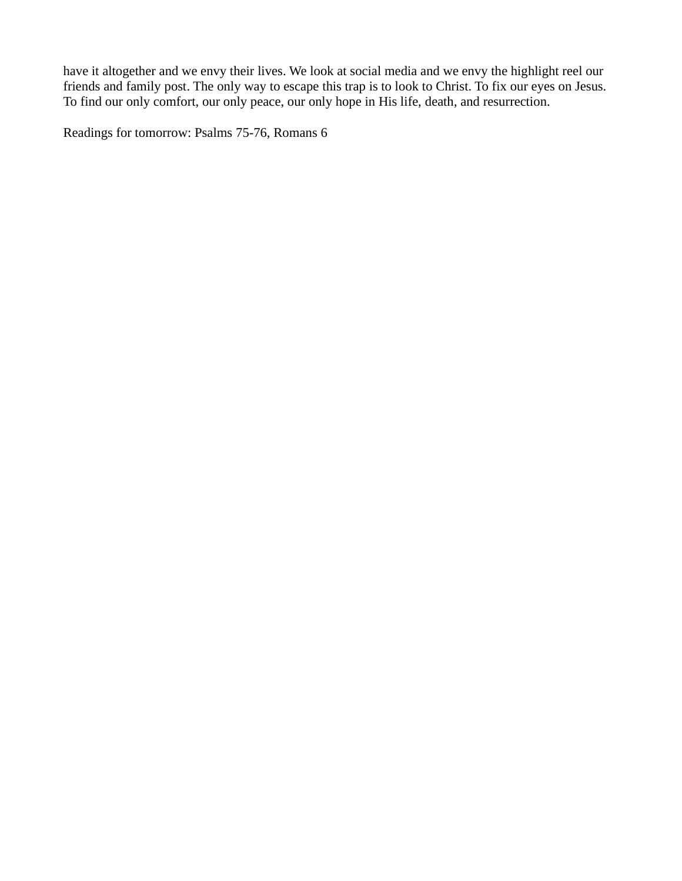have it altogether and we envy their lives. We look at social media and we envy the highlight reel our friends and family post. The only way to escape this trap is to look to Christ. To fix our eyes on Jesus. To find our only comfort, our only peace, our only hope in His life, death, and resurrection.

Readings for tomorrow: Psalms 75-76, Romans 6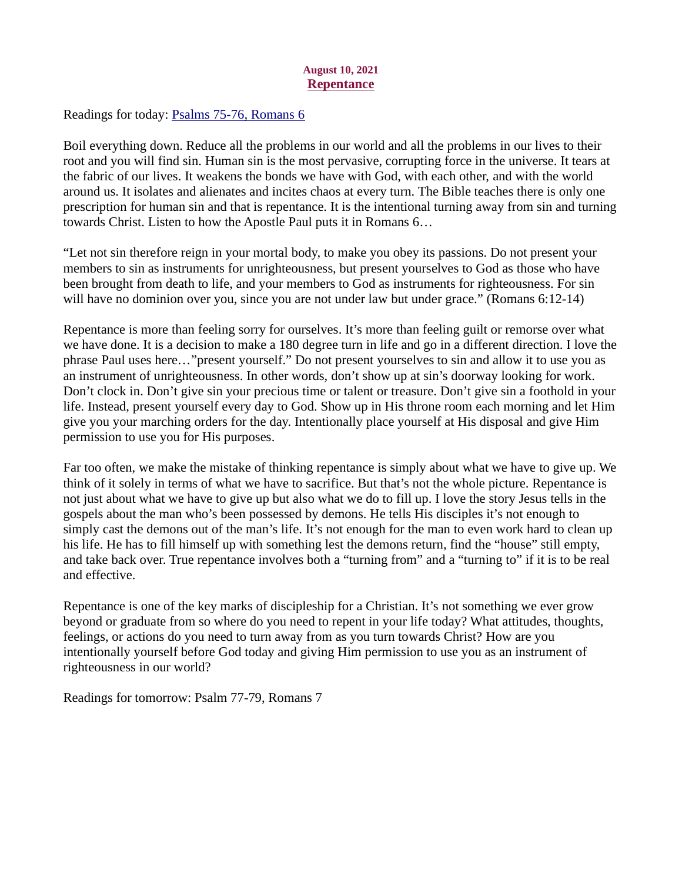#### August 10, 2021 **Repentance**

<span id="page-13-0"></span>Readings for today[: Psalms 75-76, Romans 6](https://www.biblegateway.com/passage/?search=Psalms+75-76%2C+Romans+6&version=ESV)

Boil everything down. Reduce all the problems in our world and all the problems in our lives to their root and you will find sin. Human sin is the most pervasive, corrupting force in the universe. It tears at the fabric of our lives. It weakens the bonds we have with God, with each other, and with the world around us. It isolates and alienates and incites chaos at every turn. The Bible teaches there is only one prescription for human sin and that is repentance. It is the intentional turning away from sin and turning towards Christ. Listen to how the Apostle Paul puts it in Romans 6…

"Let not sin therefore reign in your mortal body, to make you obey its passions. Do not present your members to sin as instruments for unrighteousness, but present yourselves to God as those who have been brought from death to life, and your members to God as instruments for righteousness. For sin will have no dominion over you, since you are not under law but under grace." (Romans 6:12-14)

Repentance is more than feeling sorry for ourselves. It's more than feeling guilt or remorse over what we have done. It is a decision to make a 180 degree turn in life and go in a different direction. I love the phrase Paul uses here…"present yourself." Do not present yourselves to sin and allow it to use you as an instrument of unrighteousness. In other words, don't show up at sin's doorway looking for work. Don't clock in. Don't give sin your precious time or talent or treasure. Don't give sin a foothold in your life. Instead, present yourself every day to God. Show up in His throne room each morning and let Him give you your marching orders for the day. Intentionally place yourself at His disposal and give Him permission to use you for His purposes.

Far too often, we make the mistake of thinking repentance is simply about what we have to give up. We think of it solely in terms of what we have to sacrifice. But that's not the whole picture. Repentance is not just about what we have to give up but also what we do to fill up. I love the story Jesus tells in the gospels about the man who's been possessed by demons. He tells His disciples it's not enough to simply cast the demons out of the man's life. It's not enough for the man to even work hard to clean up his life. He has to fill himself up with something lest the demons return, find the "house" still empty, and take back over. True repentance involves both a "turning from" and a "turning to" if it is to be real and effective.

Repentance is one of the key marks of discipleship for a Christian. It's not something we ever grow beyond or graduate from so where do you need to repent in your life today? What attitudes, thoughts, feelings, or actions do you need to turn away from as you turn towards Christ? How are you intentionally yourself before God today and giving Him permission to use you as an instrument of righteousness in our world?

Readings for tomorrow: Psalm 77-79, Romans 7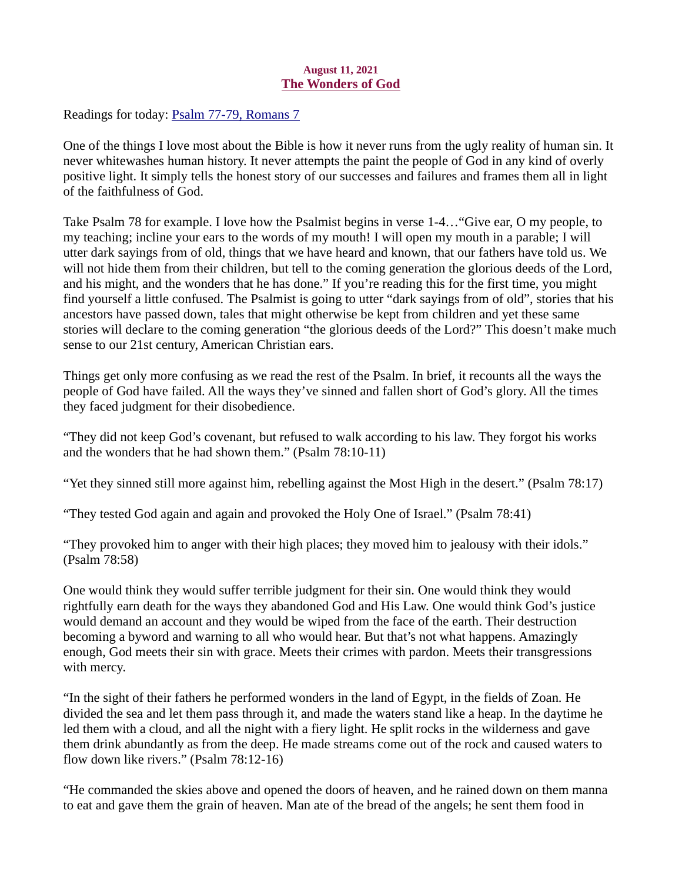## August 11, 2021 The Wonders of God

<span id="page-14-0"></span>Readings for today: **Psalm 77-79, Romans 7** 

One of the things I love most about the Bible is how it never runs from the ugly reality of human sin. It never whitewashes human history. It never attempts the paint the people of God in any kind of overly positive light. It simply tells the honest story of our successes and failures and frames them all in light of the faithfulness of God.

Take Psalm 78 for example. I love how the Psalmist begins in verse 1-4…"Give ear, O my people, to my teaching; incline your ears to the words of my mouth! I will open my mouth in a parable; I will utter dark sayings from of old, things that we have heard and known, that our fathers have told us. We will not hide them from their children, but tell to the coming generation the glorious deeds of the Lord, and his might, and the wonders that he has done." If you're reading this for the first time, you might find yourself a little confused. The Psalmist is going to utter "dark sayings from of old", stories that his ancestors have passed down, tales that might otherwise be kept from children and yet these same stories will declare to the coming generation "the glorious deeds of the Lord?" This doesn't make much sense to our 21st century, American Christian ears.

Things get only more confusing as we read the rest of the Psalm. In brief, it recounts all the ways the people of God have failed. All the ways they've sinned and fallen short of God's glory. All the times they faced judgment for their disobedience.

"They did not keep God's covenant, but refused to walk according to his law. They forgot his works and the wonders that he had shown them." (Psalm 78:10-11)

"Yet they sinned still more against him, rebelling against the Most High in the desert." (Psalm 78:17)

"They tested God again and again and provoked the Holy One of Israel." (Psalm 78:41)

"They provoked him to anger with their high places; they moved him to jealousy with their idols." (Psalm 78:58)

One would think they would suffer terrible judgment for their sin. One would think they would rightfully earn death for the ways they abandoned God and His Law. One would think God's justice would demand an account and they would be wiped from the face of the earth. Their destruction becoming a byword and warning to all who would hear. But that's not what happens. Amazingly enough, God meets their sin with grace. Meets their crimes with pardon. Meets their transgressions with mercy.

"In the sight of their fathers he performed wonders in the land of Egypt, in the fields of Zoan. He divided the sea and let them pass through it, and made the waters stand like a heap. In the daytime he led them with a cloud, and all the night with a fiery light. He split rocks in the wilderness and gave them drink abundantly as from the deep. He made streams come out of the rock and caused waters to flow down like rivers." (Psalm 78:12-16)

"He commanded the skies above and opened the doors of heaven, and he rained down on them manna to eat and gave them the grain of heaven. Man ate of the bread of the angels; he sent them food in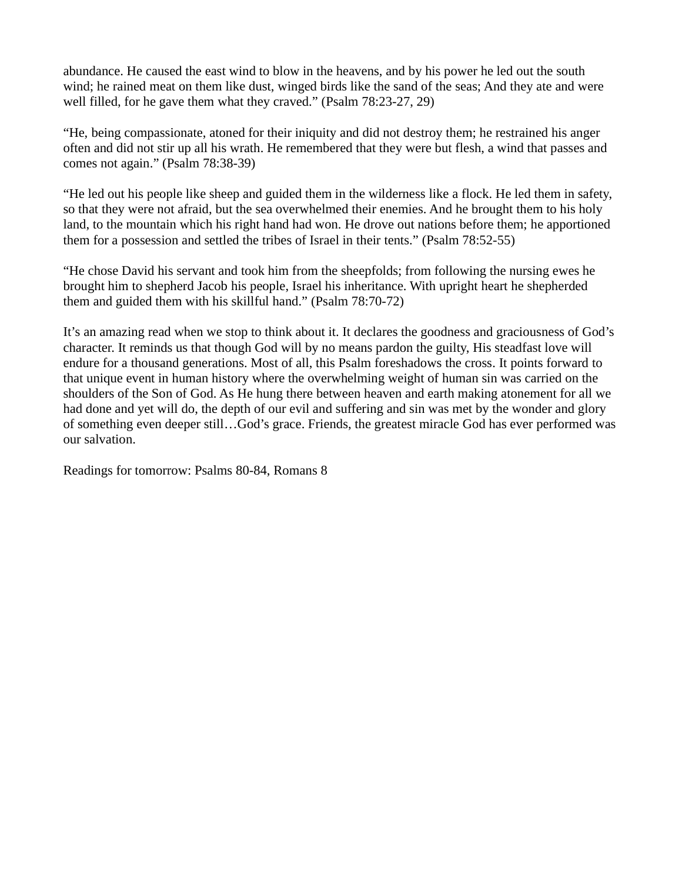abundance. He caused the east wind to blow in the heavens, and by his power he led out the south wind; he rained meat on them like dust, winged birds like the sand of the seas; And they ate and were well filled, for he gave them what they craved." (Psalm 78:23-27, 29)

"He, being compassionate, atoned for their iniquity and did not destroy them; he restrained his anger often and did not stir up all his wrath. He remembered that they were but flesh, a wind that passes and comes not again." (Psalm 78:38-39)

"He led out his people like sheep and guided them in the wilderness like a flock. He led them in safety, so that they were not afraid, but the sea overwhelmed their enemies. And he brought them to his holy land, to the mountain which his right hand had won. He drove out nations before them; he apportioned them for a possession and settled the tribes of Israel in their tents." (Psalm 78:52-55)

"He chose David his servant and took him from the sheepfolds; from following the nursing ewes he brought him to shepherd Jacob his people, Israel his inheritance. With upright heart he shepherded them and guided them with his skillful hand." (Psalm 78:70-72)

It's an amazing read when we stop to think about it. It declares the goodness and graciousness of God's character. It reminds us that though God will by no means pardon the guilty, His steadfast love will endure for a thousand generations. Most of all, this Psalm foreshadows the cross. It points forward to that unique event in human history where the overwhelming weight of human sin was carried on the shoulders of the Son of God. As He hung there between heaven and earth making atonement for all we had done and yet will do, the depth of our evil and suffering and sin was met by the wonder and glory of something even deeper still…God's grace. Friends, the greatest miracle God has ever performed was our salvation.

Readings for tomorrow: Psalms 80-84, Romans 8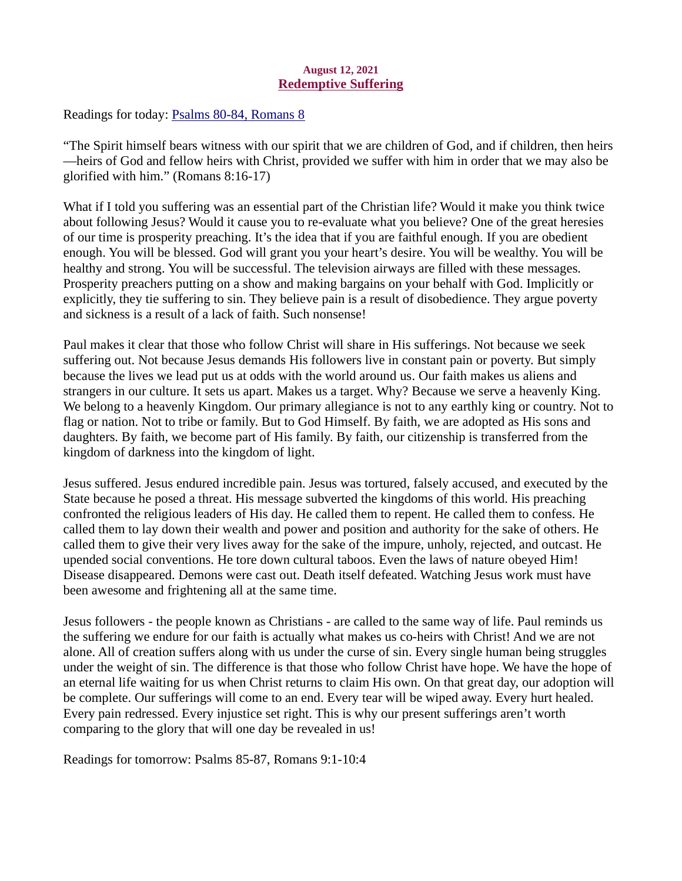## August 12, 2021 Redemptive Suffering

<span id="page-16-0"></span>Readings for today: [Psalms 80-84, Romans 8](https://www.biblegateway.com/passage/?search=Psalms+80-84%2C+Romans+8&version=ESV)

"The Spirit himself bears witness with our spirit that we are children of God, and if children, then heirs —heirs of God and fellow heirs with Christ, provided we suffer with him in order that we may also be glorified with him." (Romans 8:16-17)

What if I told you suffering was an essential part of the Christian life? Would it make you think twice about following Jesus? Would it cause you to re-evaluate what you believe? One of the great heresies of our time is prosperity preaching. It's the idea that if you are faithful enough. If you are obedient enough. You will be blessed. God will grant you your heart's desire. You will be wealthy. You will be healthy and strong. You will be successful. The television airways are filled with these messages. Prosperity preachers putting on a show and making bargains on your behalf with God. Implicitly or explicitly, they tie suffering to sin. They believe pain is a result of disobedience. They argue poverty and sickness is a result of a lack of faith. Such nonsense!

Paul makes it clear that those who follow Christ will share in His sufferings. Not because we seek suffering out. Not because Jesus demands His followers live in constant pain or poverty. But simply because the lives we lead put us at odds with the world around us. Our faith makes us aliens and strangers in our culture. It sets us apart. Makes us a target. Why? Because we serve a heavenly King. We belong to a heavenly Kingdom. Our primary allegiance is not to any earthly king or country. Not to flag or nation. Not to tribe or family. But to God Himself. By faith, we are adopted as His sons and daughters. By faith, we become part of His family. By faith, our citizenship is transferred from the kingdom of darkness into the kingdom of light.

Jesus suffered. Jesus endured incredible pain. Jesus was tortured, falsely accused, and executed by the State because he posed a threat. His message subverted the kingdoms of this world. His preaching confronted the religious leaders of His day. He called them to repent. He called them to confess. He called them to lay down their wealth and power and position and authority for the sake of others. He called them to give their very lives away for the sake of the impure, unholy, rejected, and outcast. He upended social conventions. He tore down cultural taboos. Even the laws of nature obeyed Him! Disease disappeared. Demons were cast out. Death itself defeated. Watching Jesus work must have been awesome and frightening all at the same time.

Jesus followers - the people known as Christians - are called to the same way of life. Paul reminds us the suffering we endure for our faith is actually what makes us co-heirs with Christ! And we are not alone. All of creation suffers along with us under the curse of sin. Every single human being struggles under the weight of sin. The difference is that those who follow Christ have hope. We have the hope of an eternal life waiting for us when Christ returns to claim His own. On that great day, our adoption will be complete. Our sufferings will come to an end. Every tear will be wiped away. Every hurt healed. Every pain redressed. Every injustice set right. This is why our present sufferings aren't worth comparing to the glory that will one day be revealed in us!

Readings for tomorrow: Psalms 85-87, Romans 9:1-10:4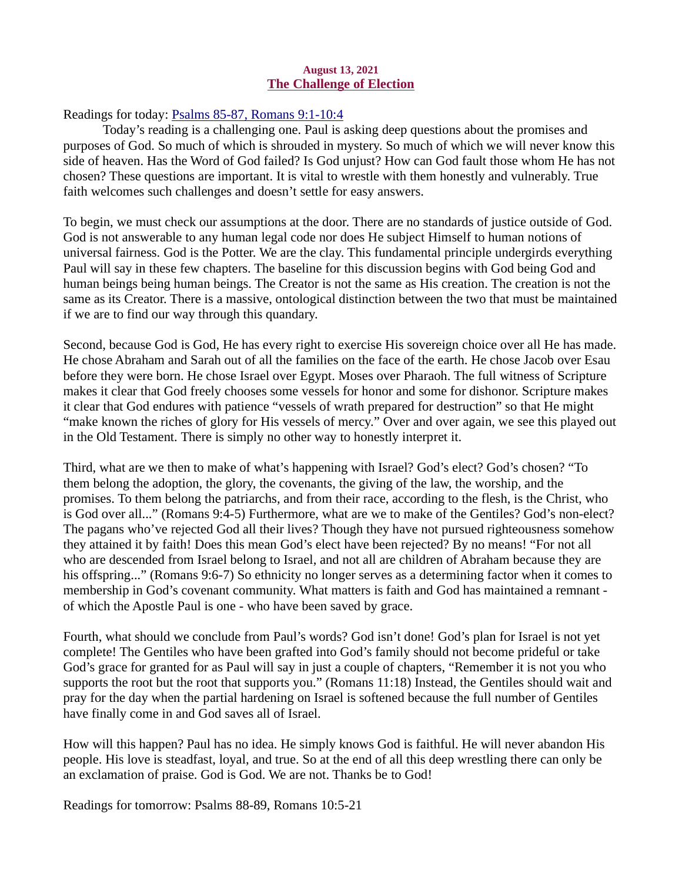#### August 13, 2021 The Challenge of Election

## <span id="page-17-0"></span>Readings for today[: Psalms 85-87, Romans 9:1-10:4](https://www.biblegateway.com/passage/?search=Psalms+85-87%2C+Romans+9%3A1-10%3A4&version=ESV)

Today's reading is a challenging one. Paul is asking deep questions about the promises and purposes of God. So much of which is shrouded in mystery. So much of which we will never know this side of heaven. Has the Word of God failed? Is God unjust? How can God fault those whom He has not chosen? These questions are important. It is vital to wrestle with them honestly and vulnerably. True faith welcomes such challenges and doesn't settle for easy answers.

To begin, we must check our assumptions at the door. There are no standards of justice outside of God. God is not answerable to any human legal code nor does He subject Himself to human notions of universal fairness. God is the Potter. We are the clay. This fundamental principle undergirds everything Paul will say in these few chapters. The baseline for this discussion begins with God being God and human beings being human beings. The Creator is not the same as His creation. The creation is not the same as its Creator. There is a massive, ontological distinction between the two that must be maintained if we are to find our way through this quandary.

Second, because God is God, He has every right to exercise His sovereign choice over all He has made. He chose Abraham and Sarah out of all the families on the face of the earth. He chose Jacob over Esau before they were born. He chose Israel over Egypt. Moses over Pharaoh. The full witness of Scripture makes it clear that God freely chooses some vessels for honor and some for dishonor. Scripture makes it clear that God endures with patience "vessels of wrath prepared for destruction" so that He might "make known the riches of glory for His vessels of mercy." Over and over again, we see this played out in the Old Testament. There is simply no other way to honestly interpret it.

Third, what are we then to make of what's happening with Israel? God's elect? God's chosen? "To them belong the adoption, the glory, the covenants, the giving of the law, the worship, and the promises. To them belong the patriarchs, and from their race, according to the flesh, is the Christ, who is God over all..." (Romans 9:4-5) Furthermore, what are we to make of the Gentiles? God's non-elect? The pagans who've rejected God all their lives? Though they have not pursued righteousness somehow they attained it by faith! Does this mean God's elect have been rejected? By no means! "For not all who are descended from Israel belong to Israel, and not all are children of Abraham because they are his offspring..." (Romans 9:6-7) So ethnicity no longer serves as a determining factor when it comes to membership in God's covenant community. What matters is faith and God has maintained a remnant of which the Apostle Paul is one - who have been saved by grace.

Fourth, what should we conclude from Paul's words? God isn't done! God's plan for Israel is not yet complete! The Gentiles who have been grafted into God's family should not become prideful or take God's grace for granted for as Paul will say in just a couple of chapters, "Remember it is not you who supports the root but the root that supports you." (Romans 11:18) Instead, the Gentiles should wait and pray for the day when the partial hardening on Israel is softened because the full number of Gentiles have finally come in and God saves all of Israel.

How will this happen? Paul has no idea. He simply knows God is faithful. He will never abandon His people. His love is steadfast, loyal, and true. So at the end of all this deep wrestling there can only be an exclamation of praise. God is God. We are not. Thanks be to God!

Readings for tomorrow: Psalms 88-89, Romans 10:5-21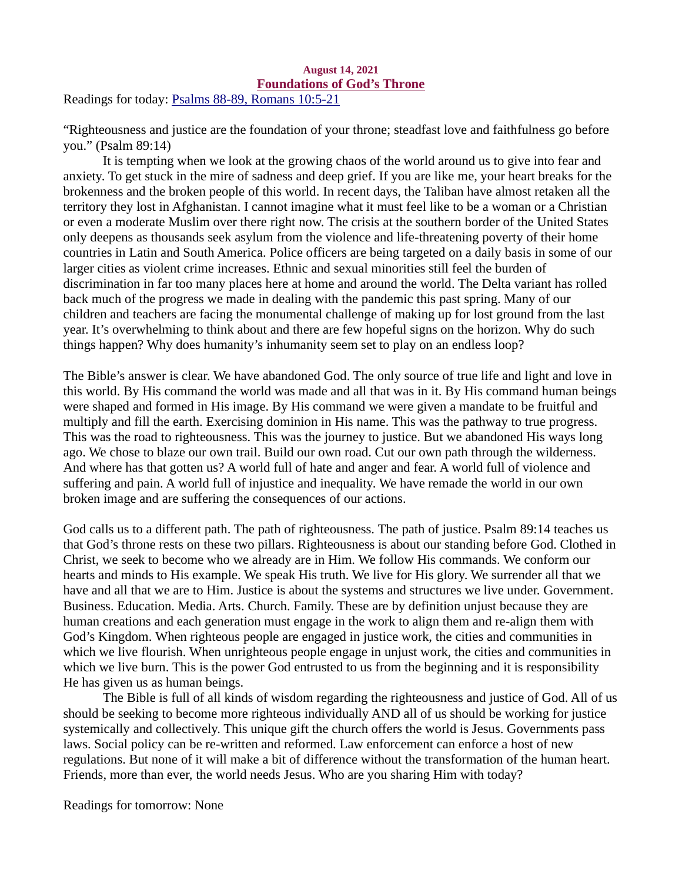## August 14, 2021 Foundations of God's Throne

<span id="page-18-0"></span>Readings for today[: Psalms 88-89, Romans 10:5-21](https://www.biblegateway.com/passage/?search=Psalms+88-89%2C+Romans+10%3A5-21&version=ESV)

"Righteousness and justice are the foundation of your throne; steadfast love and faithfulness go before you." (Psalm 89:14)

It is tempting when we look at the growing chaos of the world around us to give into fear and anxiety. To get stuck in the mire of sadness and deep grief. If you are like me, your heart breaks for the brokenness and the broken people of this world. In recent days, the Taliban have almost retaken all the territory they lost in Afghanistan. I cannot imagine what it must feel like to be a woman or a Christian or even a moderate Muslim over there right now. The crisis at the southern border of the United States only deepens as thousands seek asylum from the violence and life-threatening poverty of their home countries in Latin and South America. Police officers are being targeted on a daily basis in some of our larger cities as violent crime increases. Ethnic and sexual minorities still feel the burden of discrimination in far too many places here at home and around the world. The Delta variant has rolled back much of the progress we made in dealing with the pandemic this past spring. Many of our children and teachers are facing the monumental challenge of making up for lost ground from the last year. It's overwhelming to think about and there are few hopeful signs on the horizon. Why do such things happen? Why does humanity's inhumanity seem set to play on an endless loop?

The Bible's answer is clear. We have abandoned God. The only source of true life and light and love in this world. By His command the world was made and all that was in it. By His command human beings were shaped and formed in His image. By His command we were given a mandate to be fruitful and multiply and fill the earth. Exercising dominion in His name. This was the pathway to true progress. This was the road to righteousness. This was the journey to justice. But we abandoned His ways long ago. We chose to blaze our own trail. Build our own road. Cut our own path through the wilderness. And where has that gotten us? A world full of hate and anger and fear. A world full of violence and suffering and pain. A world full of injustice and inequality. We have remade the world in our own broken image and are suffering the consequences of our actions.

God calls us to a different path. The path of righteousness. The path of justice. Psalm 89:14 teaches us that God's throne rests on these two pillars. Righteousness is about our standing before God. Clothed in Christ, we seek to become who we already are in Him. We follow His commands. We conform our hearts and minds to His example. We speak His truth. We live for His glory. We surrender all that we have and all that we are to Him. Justice is about the systems and structures we live under. Government. Business. Education. Media. Arts. Church. Family. These are by definition unjust because they are human creations and each generation must engage in the work to align them and re-align them with God's Kingdom. When righteous people are engaged in justice work, the cities and communities in which we live flourish. When unrighteous people engage in unjust work, the cities and communities in which we live burn. This is the power God entrusted to us from the beginning and it is responsibility He has given us as human beings.

The Bible is full of all kinds of wisdom regarding the righteousness and justice of God. All of us should be seeking to become more righteous individually AND all of us should be working for justice systemically and collectively. This unique gift the church offers the world is Jesus. Governments pass laws. Social policy can be re-written and reformed. Law enforcement can enforce a host of new regulations. But none of it will make a bit of difference without the transformation of the human heart. Friends, more than ever, the world needs Jesus. Who are you sharing Him with today?

Readings for tomorrow: None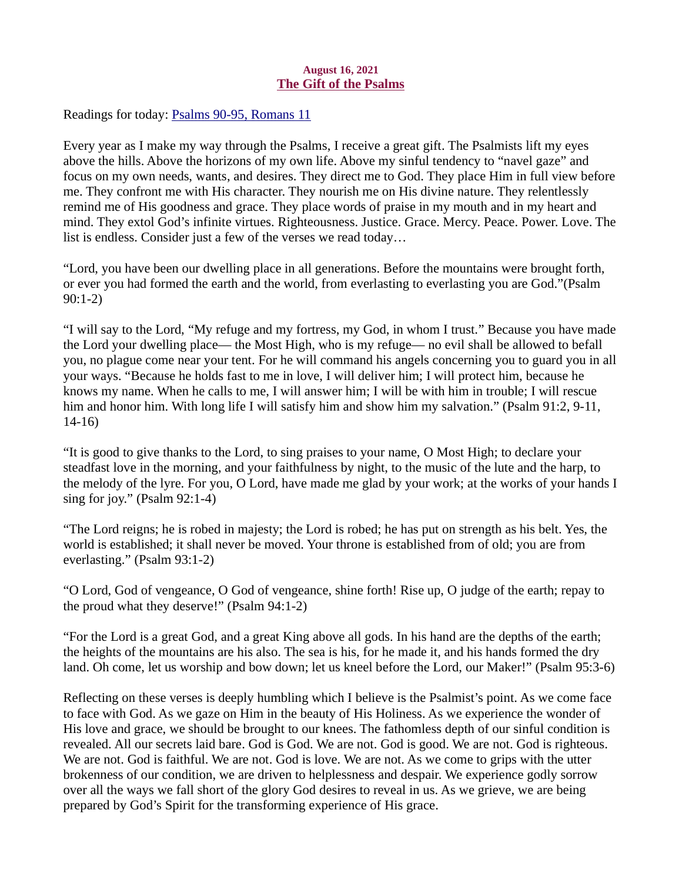#### August 16, 2021 The Gift of the Psalms

<span id="page-19-0"></span>Readings for today[: Psalms 90-95, Romans 11](https://www.biblegateway.com/passage/?search=Psalms+90-95%2C+Romans+11&version=ESV)

Every year as I make my way through the Psalms, I receive a great gift. The Psalmists lift my eyes above the hills. Above the horizons of my own life. Above my sinful tendency to "navel gaze" and focus on my own needs, wants, and desires. They direct me to God. They place Him in full view before me. They confront me with His character. They nourish me on His divine nature. They relentlessly remind me of His goodness and grace. They place words of praise in my mouth and in my heart and mind. They extol God's infinite virtues. Righteousness. Justice. Grace. Mercy. Peace. Power. Love. The list is endless. Consider just a few of the verses we read today…

"Lord, you have been our dwelling place in all generations. Before the mountains were brought forth, or ever you had formed the earth and the world, from everlasting to everlasting you are God."(Psalm 90:1-2)

"I will say to the Lord, "My refuge and my fortress, my God, in whom I trust." Because you have made the Lord your dwelling place— the Most High, who is my refuge— no evil shall be allowed to befall you, no plague come near your tent. For he will command his angels concerning you to guard you in all your ways. "Because he holds fast to me in love, I will deliver him; I will protect him, because he knows my name. When he calls to me, I will answer him; I will be with him in trouble; I will rescue him and honor him. With long life I will satisfy him and show him my salvation." (Psalm 91:2, 9-11, 14-16)

"It is good to give thanks to the Lord, to sing praises to your name, O Most High; to declare your steadfast love in the morning, and your faithfulness by night, to the music of the lute and the harp, to the melody of the lyre. For you, O Lord, have made me glad by your work; at the works of your hands I sing for joy." (Psalm 92:1-4)

"The Lord reigns; he is robed in majesty; the Lord is robed; he has put on strength as his belt. Yes, the world is established; it shall never be moved. Your throne is established from of old; you are from everlasting." (Psalm 93:1-2)

"O Lord, God of vengeance, O God of vengeance, shine forth! Rise up, O judge of the earth; repay to the proud what they deserve!" (Psalm 94:1-2)

"For the Lord is a great God, and a great King above all gods. In his hand are the depths of the earth; the heights of the mountains are his also. The sea is his, for he made it, and his hands formed the dry land. Oh come, let us worship and bow down; let us kneel before the Lord, our Maker!" (Psalm 95:3-6)

Reflecting on these verses is deeply humbling which I believe is the Psalmist's point. As we come face to face with God. As we gaze on Him in the beauty of His Holiness. As we experience the wonder of His love and grace, we should be brought to our knees. The fathomless depth of our sinful condition is revealed. All our secrets laid bare. God is God. We are not. God is good. We are not. God is righteous. We are not. God is faithful. We are not. God is love. We are not. As we come to grips with the utter brokenness of our condition, we are driven to helplessness and despair. We experience godly sorrow over all the ways we fall short of the glory God desires to reveal in us. As we grieve, we are being prepared by God's Spirit for the transforming experience of His grace.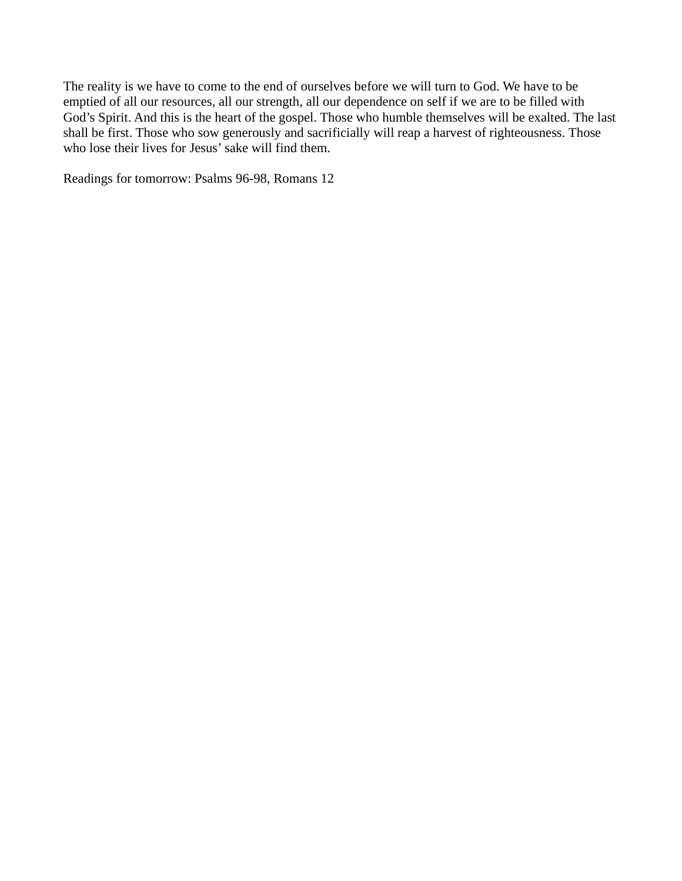The reality is we have to come to the end of ourselves before we will turn to God. We have to be emptied of all our resources, all our strength, all our dependence on self if we are to be filled with God's Spirit. And this is the heart of the gospel. Those who humble themselves will be exalted. The last shall be first. Those who sow generously and sacrificially will reap a harvest of righteousness. Those who lose their lives for Jesus' sake will find them.

Readings for tomorrow: Psalms 96-98, Romans 12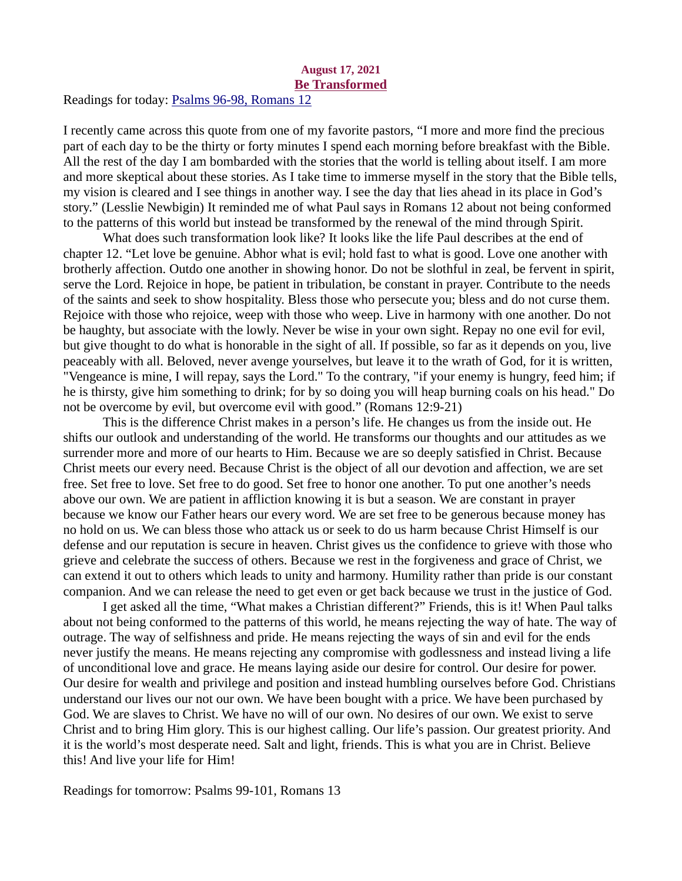# August 17, 2021 Be Transformed

<span id="page-21-0"></span>Readings for today: [Psalms 96-98, Romans 12](https://www.biblegateway.com/passage/?search=Psalms+96-98%2C+Romans+12&version=ESV)

I recently came across this quote from one of my favorite pastors, "I more and more find the precious part of each day to be the thirty or forty minutes I spend each morning before breakfast with the Bible. All the rest of the day I am bombarded with the stories that the world is telling about itself. I am more and more skeptical about these stories. As I take time to immerse myself in the story that the Bible tells, my vision is cleared and I see things in another way. I see the day that lies ahead in its place in God's story." (Lesslie Newbigin) It reminded me of what Paul says in Romans 12 about not being conformed to the patterns of this world but instead be transformed by the renewal of the mind through Spirit.

What does such transformation look like? It looks like the life Paul describes at the end of chapter 12. "Let love be genuine. Abhor what is evil; hold fast to what is good. Love one another with brotherly affection. Outdo one another in showing honor. Do not be slothful in zeal, be fervent in spirit, serve the Lord. Rejoice in hope, be patient in tribulation, be constant in prayer. Contribute to the needs of the saints and seek to show hospitality. Bless those who persecute you; bless and do not curse them. Rejoice with those who rejoice, weep with those who weep. Live in harmony with one another. Do not be haughty, but associate with the lowly. Never be wise in your own sight. Repay no one evil for evil, but give thought to do what is honorable in the sight of all. If possible, so far as it depends on you, live peaceably with all. Beloved, never avenge yourselves, but leave it to the wrath of God, for it is written, "Vengeance is mine, I will repay, says the Lord." To the contrary, "if your enemy is hungry, feed him; if he is thirsty, give him something to drink; for by so doing you will heap burning coals on his head." Do not be overcome by evil, but overcome evil with good." (Romans 12:9-21)

This is the difference Christ makes in a person's life. He changes us from the inside out. He shifts our outlook and understanding of the world. He transforms our thoughts and our attitudes as we surrender more and more of our hearts to Him. Because we are so deeply satisfied in Christ. Because Christ meets our every need. Because Christ is the object of all our devotion and affection, we are set free. Set free to love. Set free to do good. Set free to honor one another. To put one another's needs above our own. We are patient in affliction knowing it is but a season. We are constant in prayer because we know our Father hears our every word. We are set free to be generous because money has no hold on us. We can bless those who attack us or seek to do us harm because Christ Himself is our defense and our reputation is secure in heaven. Christ gives us the confidence to grieve with those who grieve and celebrate the success of others. Because we rest in the forgiveness and grace of Christ, we can extend it out to others which leads to unity and harmony. Humility rather than pride is our constant companion. And we can release the need to get even or get back because we trust in the justice of God.

I get asked all the time, "What makes a Christian different?" Friends, this is it! When Paul talks about not being conformed to the patterns of this world, he means rejecting the way of hate. The way of outrage. The way of selfishness and pride. He means rejecting the ways of sin and evil for the ends never justify the means. He means rejecting any compromise with godlessness and instead living a life of unconditional love and grace. He means laying aside our desire for control. Our desire for power. Our desire for wealth and privilege and position and instead humbling ourselves before God. Christians understand our lives our not our own. We have been bought with a price. We have been purchased by God. We are slaves to Christ. We have no will of our own. No desires of our own. We exist to serve Christ and to bring Him glory. This is our highest calling. Our life's passion. Our greatest priority. And it is the world's most desperate need. Salt and light, friends. This is what you are in Christ. Believe this! And live your life for Him!

Readings for tomorrow: Psalms 99-101, Romans 13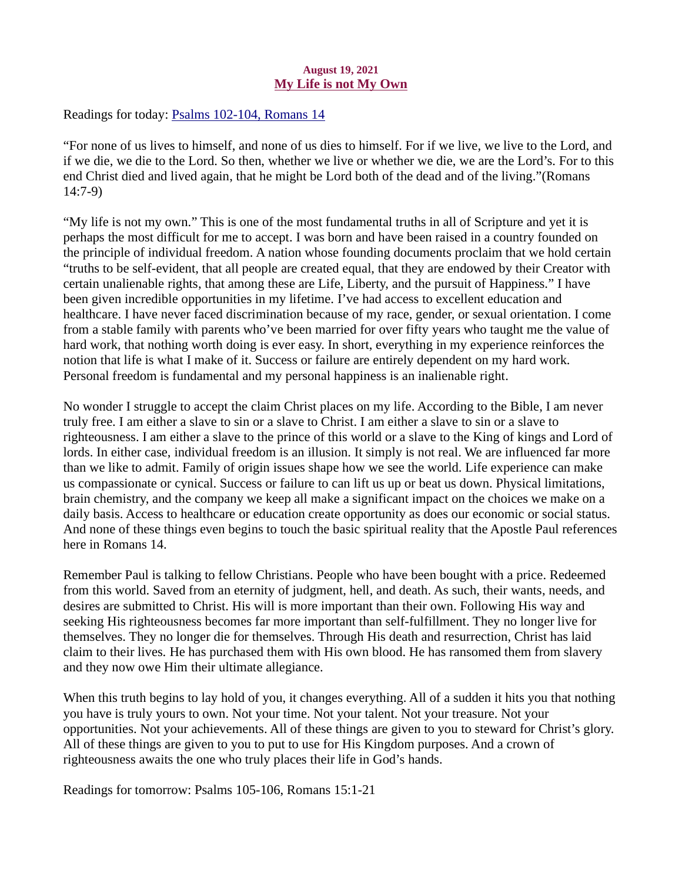## August 19, 2021 My Life is not My Own

<span id="page-22-0"></span>Readings for today[: Psalms 102-104, Romans 14](https://www.biblegateway.com/passage/?search=Psalms+102-104%2C+Romans+14&version=ESV)

"For none of us lives to himself, and none of us dies to himself. For if we live, we live to the Lord, and if we die, we die to the Lord. So then, whether we live or whether we die, we are the Lord's. For to this end Christ died and lived again, that he might be Lord both of the dead and of the living."(Romans 14:7-9)

"My life is not my own." This is one of the most fundamental truths in all of Scripture and yet it is perhaps the most difficult for me to accept. I was born and have been raised in a country founded on the principle of individual freedom. A nation whose founding documents proclaim that we hold certain "truths to be self-evident, that all people are created equal, that they are endowed by their Creator with certain unalienable rights, that among these are Life, Liberty, and the pursuit of Happiness." I have been given incredible opportunities in my lifetime. I've had access to excellent education and healthcare. I have never faced discrimination because of my race, gender, or sexual orientation. I come from a stable family with parents who've been married for over fifty years who taught me the value of hard work, that nothing worth doing is ever easy. In short, everything in my experience reinforces the notion that life is what I make of it. Success or failure are entirely dependent on my hard work. Personal freedom is fundamental and my personal happiness is an inalienable right.

No wonder I struggle to accept the claim Christ places on my life. According to the Bible, I am never truly free. I am either a slave to sin or a slave to Christ. I am either a slave to sin or a slave to righteousness. I am either a slave to the prince of this world or a slave to the King of kings and Lord of lords. In either case, individual freedom is an illusion. It simply is not real. We are influenced far more than we like to admit. Family of origin issues shape how we see the world. Life experience can make us compassionate or cynical. Success or failure to can lift us up or beat us down. Physical limitations, brain chemistry, and the company we keep all make a significant impact on the choices we make on a daily basis. Access to healthcare or education create opportunity as does our economic or social status. And none of these things even begins to touch the basic spiritual reality that the Apostle Paul references here in Romans 14.

Remember Paul is talking to fellow Christians. People who have been bought with a price. Redeemed from this world. Saved from an eternity of judgment, hell, and death. As such, their wants, needs, and desires are submitted to Christ. His will is more important than their own. Following His way and seeking His righteousness becomes far more important than self-fulfillment. They no longer live for themselves. They no longer die for themselves. Through His death and resurrection, Christ has laid claim to their lives. He has purchased them with His own blood. He has ransomed them from slavery and they now owe Him their ultimate allegiance.

When this truth begins to lay hold of you, it changes everything. All of a sudden it hits you that nothing you have is truly yours to own. Not your time. Not your talent. Not your treasure. Not your opportunities. Not your achievements. All of these things are given to you to steward for Christ's glory. All of these things are given to you to put to use for His Kingdom purposes. And a crown of righteousness awaits the one who truly places their life in God's hands.

Readings for tomorrow: Psalms 105-106, Romans 15:1-21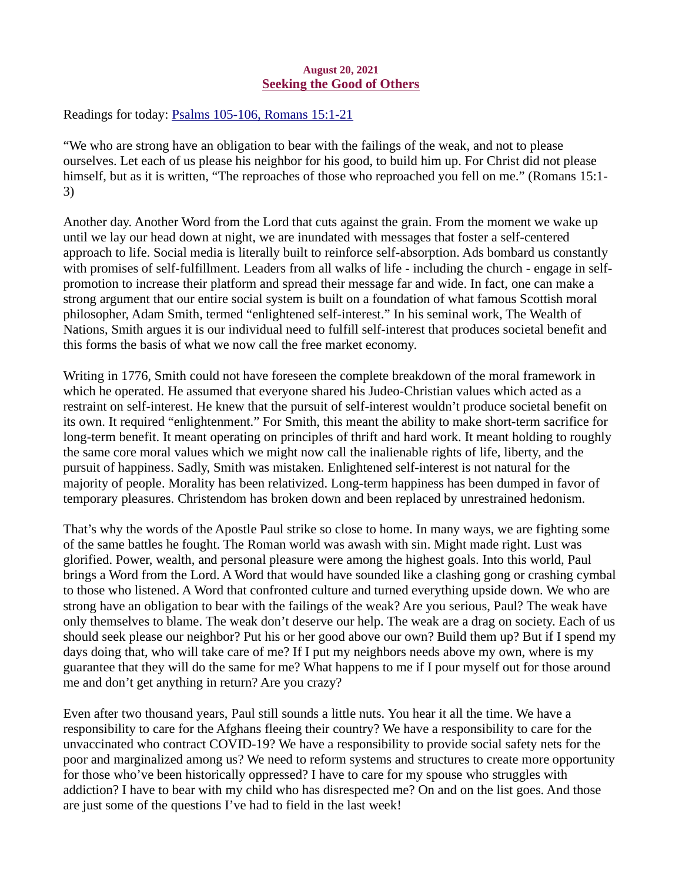## August 20, 2021 Seeking the Good of Others

<span id="page-23-0"></span>Readings for today[: Psalms 105-106, Romans 15:1-21](https://www.biblegateway.com/passage/?search=Psalms+105-106%2C+Romans+15%3A1-21&version=ESV)

"We who are strong have an obligation to bear with the failings of the weak, and not to please ourselves. Let each of us please his neighbor for his good, to build him up. For Christ did not please himself, but as it is written, "The reproaches of those who reproached you fell on me." (Romans 15:1- 3)

Another day. Another Word from the Lord that cuts against the grain. From the moment we wake up until we lay our head down at night, we are inundated with messages that foster a self-centered approach to life. Social media is literally built to reinforce self-absorption. Ads bombard us constantly with promises of self-fulfillment. Leaders from all walks of life - including the church - engage in selfpromotion to increase their platform and spread their message far and wide. In fact, one can make a strong argument that our entire social system is built on a foundation of what famous Scottish moral philosopher, Adam Smith, termed "enlightened self-interest." In his seminal work, The Wealth of Nations, Smith argues it is our individual need to fulfill self-interest that produces societal benefit and this forms the basis of what we now call the free market economy.

Writing in 1776, Smith could not have foreseen the complete breakdown of the moral framework in which he operated. He assumed that everyone shared his Judeo-Christian values which acted as a restraint on self-interest. He knew that the pursuit of self-interest wouldn't produce societal benefit on its own. It required "enlightenment." For Smith, this meant the ability to make short-term sacrifice for long-term benefit. It meant operating on principles of thrift and hard work. It meant holding to roughly the same core moral values which we might now call the inalienable rights of life, liberty, and the pursuit of happiness. Sadly, Smith was mistaken. Enlightened self-interest is not natural for the majority of people. Morality has been relativized. Long-term happiness has been dumped in favor of temporary pleasures. Christendom has broken down and been replaced by unrestrained hedonism.

That's why the words of the Apostle Paul strike so close to home. In many ways, we are fighting some of the same battles he fought. The Roman world was awash with sin. Might made right. Lust was glorified. Power, wealth, and personal pleasure were among the highest goals. Into this world, Paul brings a Word from the Lord. A Word that would have sounded like a clashing gong or crashing cymbal to those who listened. A Word that confronted culture and turned everything upside down. We who are strong have an obligation to bear with the failings of the weak? Are you serious, Paul? The weak have only themselves to blame. The weak don't deserve our help. The weak are a drag on society. Each of us should seek please our neighbor? Put his or her good above our own? Build them up? But if I spend my days doing that, who will take care of me? If I put my neighbors needs above my own, where is my guarantee that they will do the same for me? What happens to me if I pour myself out for those around me and don't get anything in return? Are you crazy?

Even after two thousand years, Paul still sounds a little nuts. You hear it all the time. We have a responsibility to care for the Afghans fleeing their country? We have a responsibility to care for the unvaccinated who contract COVID-19? We have a responsibility to provide social safety nets for the poor and marginalized among us? We need to reform systems and structures to create more opportunity for those who've been historically oppressed? I have to care for my spouse who struggles with addiction? I have to bear with my child who has disrespected me? On and on the list goes. And those are just some of the questions I've had to field in the last week!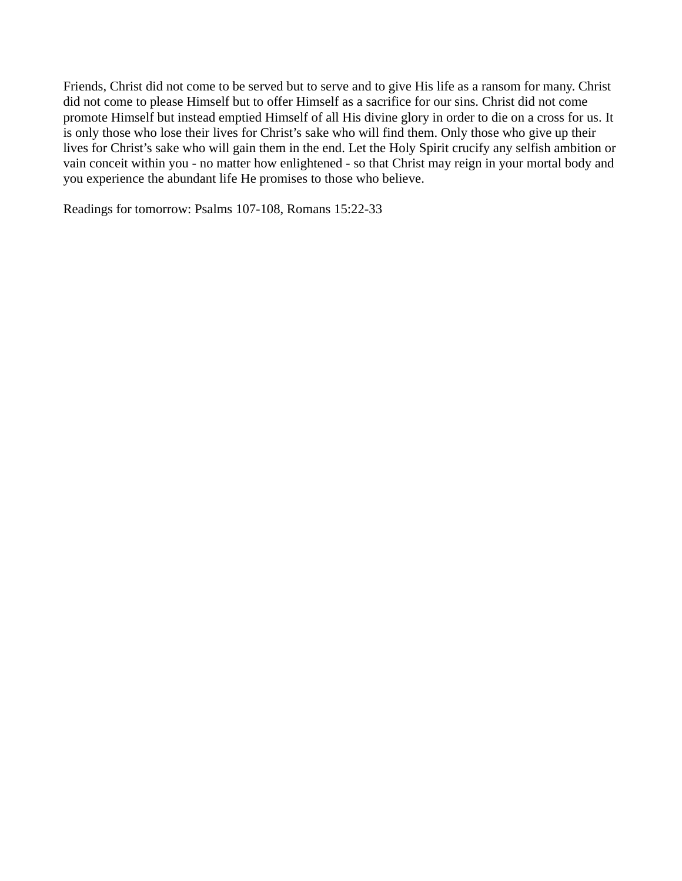Friends, Christ did not come to be served but to serve and to give His life as a ransom for many. Christ did not come to please Himself but to offer Himself as a sacrifice for our sins. Christ did not come promote Himself but instead emptied Himself of all His divine glory in order to die on a cross for us. It is only those who lose their lives for Christ's sake who will find them. Only those who give up their lives for Christ's sake who will gain them in the end. Let the Holy Spirit crucify any selfish ambition or vain conceit within you - no matter how enlightened - so that Christ may reign in your mortal body and you experience the abundant life He promises to those who believe.

Readings for tomorrow: Psalms 107-108, Romans 15:22-33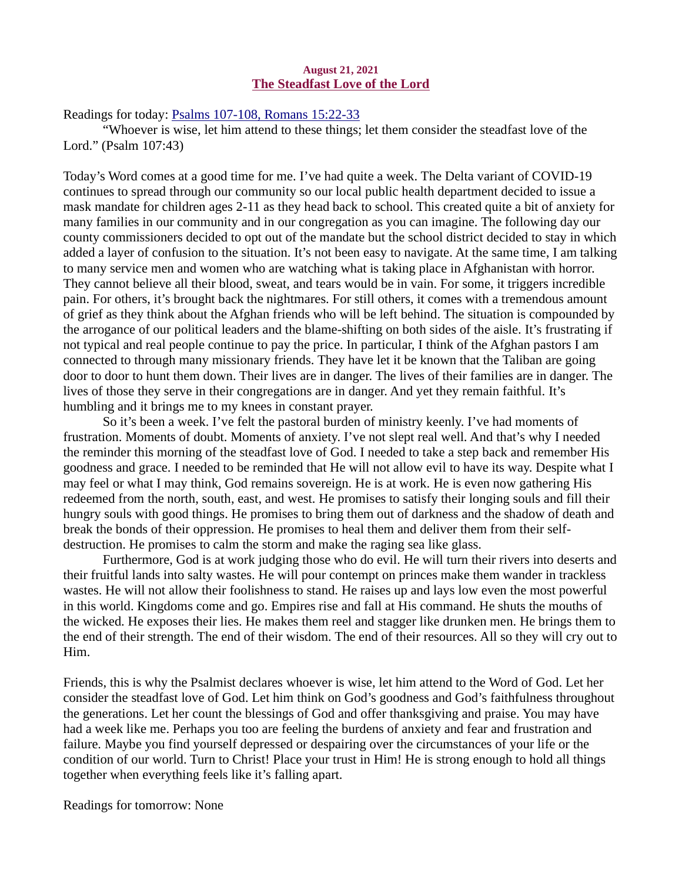#### August 21, 2021 The Steadfast Love of the Lord

#### <span id="page-25-0"></span>Readings for today[: Psalms 107-108, Romans 15:22-33](https://www.biblegateway.com/passage/?search=Psalms+107-108%2C+Romans+15%3A22-33&version=ESV)

"Whoever is wise, let him attend to these things; let them consider the steadfast love of the Lord." (Psalm 107:43)

Today's Word comes at a good time for me. I've had quite a week. The Delta variant of COVID-19 continues to spread through our community so our local public health department decided to issue a mask mandate for children ages 2-11 as they head back to school. This created quite a bit of anxiety for many families in our community and in our congregation as you can imagine. The following day our county commissioners decided to opt out of the mandate but the school district decided to stay in which added a layer of confusion to the situation. It's not been easy to navigate. At the same time, I am talking to many service men and women who are watching what is taking place in Afghanistan with horror. They cannot believe all their blood, sweat, and tears would be in vain. For some, it triggers incredible pain. For others, it's brought back the nightmares. For still others, it comes with a tremendous amount of grief as they think about the Afghan friends who will be left behind. The situation is compounded by the arrogance of our political leaders and the blame-shifting on both sides of the aisle. It's frustrating if not typical and real people continue to pay the price. In particular, I think of the Afghan pastors I am connected to through many missionary friends. They have let it be known that the Taliban are going door to door to hunt them down. Their lives are in danger. The lives of their families are in danger. The lives of those they serve in their congregations are in danger. And yet they remain faithful. It's humbling and it brings me to my knees in constant prayer.

So it's been a week. I've felt the pastoral burden of ministry keenly. I've had moments of frustration. Moments of doubt. Moments of anxiety. I've not slept real well. And that's why I needed the reminder this morning of the steadfast love of God. I needed to take a step back and remember His goodness and grace. I needed to be reminded that He will not allow evil to have its way. Despite what I may feel or what I may think, God remains sovereign. He is at work. He is even now gathering His redeemed from the north, south, east, and west. He promises to satisfy their longing souls and fill their hungry souls with good things. He promises to bring them out of darkness and the shadow of death and break the bonds of their oppression. He promises to heal them and deliver them from their selfdestruction. He promises to calm the storm and make the raging sea like glass.

Furthermore, God is at work judging those who do evil. He will turn their rivers into deserts and their fruitful lands into salty wastes. He will pour contempt on princes make them wander in trackless wastes. He will not allow their foolishness to stand. He raises up and lays low even the most powerful in this world. Kingdoms come and go. Empires rise and fall at His command. He shuts the mouths of the wicked. He exposes their lies. He makes them reel and stagger like drunken men. He brings them to the end of their strength. The end of their wisdom. The end of their resources. All so they will cry out to Him.

Friends, this is why the Psalmist declares whoever is wise, let him attend to the Word of God. Let her consider the steadfast love of God. Let him think on God's goodness and God's faithfulness throughout the generations. Let her count the blessings of God and offer thanksgiving and praise. You may have had a week like me. Perhaps you too are feeling the burdens of anxiety and fear and frustration and failure. Maybe you find yourself depressed or despairing over the circumstances of your life or the condition of our world. Turn to Christ! Place your trust in Him! He is strong enough to hold all things together when everything feels like it's falling apart.

Readings for tomorrow: None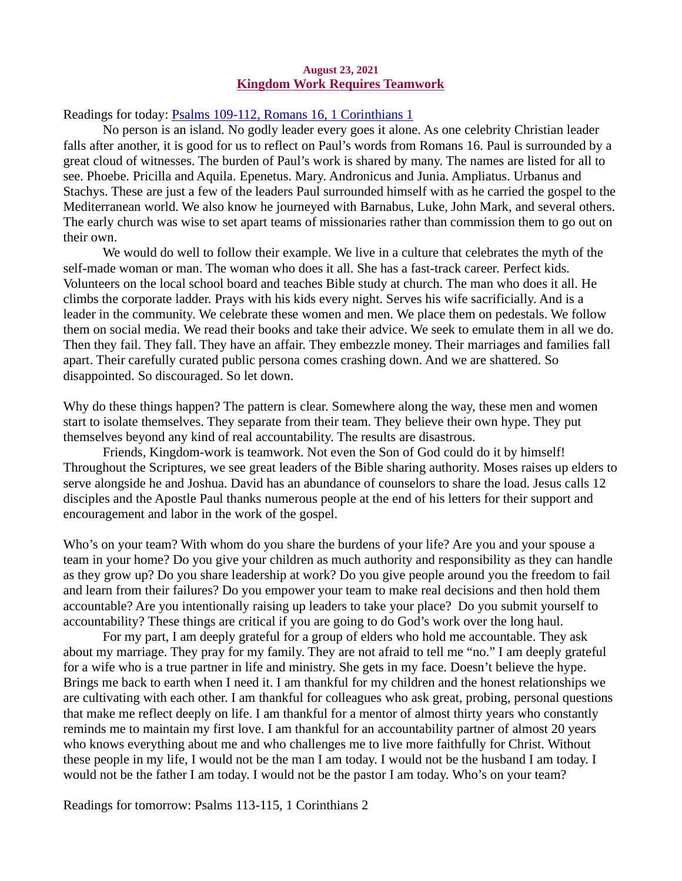#### August 23, 2021 Kingdom Work Requires Teamwork

#### <span id="page-26-0"></span>Readings for today: [Psalms 109-112, Romans 16, 1 Corinthians 1](https://www.biblegateway.com/passage/?search=Psalms+109-112%2C+Romans+16%2C+1+Corinthians+1&version=ESV)

No person is an island. No godly leader every goes it alone. As one celebrity Christian leader falls after another, it is good for us to reflect on Paul's words from Romans 16. Paul is surrounded by a great cloud of witnesses. The burden of Paul's work is shared by many. The names are listed for all to see. Phoebe. Pricilla and Aquila. Epenetus. Mary. Andronicus and Junia. Ampliatus. Urbanus and Stachys. These are just a few of the leaders Paul surrounded himself with as he carried the gospel to the Mediterranean world. We also know he journeyed with Barnabus, Luke, John Mark, and several others. The early church was wise to set apart teams of missionaries rather than commission them to go out on their own.

We would do well to follow their example. We live in a culture that celebrates the myth of the self-made woman or man. The woman who does it all. She has a fast-track career. Perfect kids. Volunteers on the local school board and teaches Bible study at church. The man who does it all. He climbs the corporate ladder. Prays with his kids every night. Serves his wife sacrificially. And is a leader in the community. We celebrate these women and men. We place them on pedestals. We follow them on social media. We read their books and take their advice. We seek to emulate them in all we do. Then they fail. They fall. They have an affair. They embezzle money. Their marriages and families fall apart. Their carefully curated public persona comes crashing down. And we are shattered. So disappointed. So discouraged. So let down.

Why do these things happen? The pattern is clear. Somewhere along the way, these men and women start to isolate themselves. They separate from their team. They believe their own hype. They put themselves beyond any kind of real accountability. The results are disastrous.

Friends, Kingdom-work is teamwork. Not even the Son of God could do it by himself! Throughout the Scriptures, we see great leaders of the Bible sharing authority. Moses raises up elders to serve alongside he and Joshua. David has an abundance of counselors to share the load. Jesus calls 12 disciples and the Apostle Paul thanks numerous people at the end of his letters for their support and encouragement and labor in the work of the gospel.

Who's on your team? With whom do you share the burdens of your life? Are you and your spouse a team in your home? Do you give your children as much authority and responsibility as they can handle as they grow up? Do you share leadership at work? Do you give people around you the freedom to fail and learn from their failures? Do you empower your team to make real decisions and then hold them accountable? Are you intentionally raising up leaders to take your place? Do you submit yourself to accountability? These things are critical if you are going to do God's work over the long haul.

For my part, I am deeply grateful for a group of elders who hold me accountable. They ask about my marriage. They pray for my family. They are not afraid to tell me "no." I am deeply grateful for a wife who is a true partner in life and ministry. She gets in my face. Doesn't believe the hype. Brings me back to earth when I need it. I am thankful for my children and the honest relationships we are cultivating with each other. I am thankful for colleagues who ask great, probing, personal questions that make me reflect deeply on life. I am thankful for a mentor of almost thirty years who constantly reminds me to maintain my first love. I am thankful for an accountability partner of almost 20 years who knows everything about me and who challenges me to live more faithfully for Christ. Without these people in my life, I would not be the man I am today. I would not be the husband I am today. I would not be the father I am today. I would not be the pastor I am today. Who's on your team?

Readings for tomorrow: Psalms 113-115, 1 Corinthians 2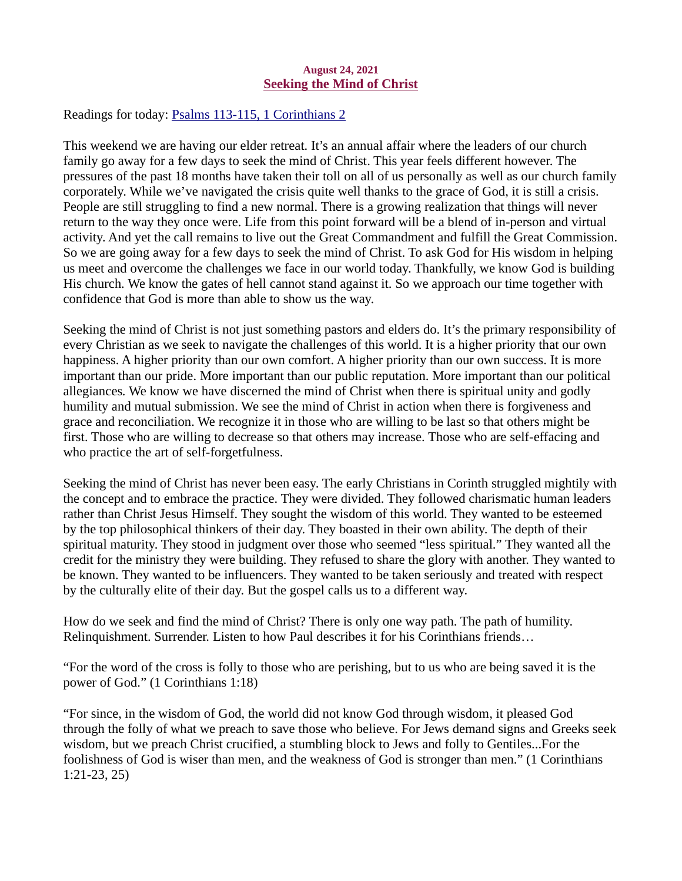#### August 24, 2021 Seeking the Mind of Christ

<span id="page-27-0"></span>Readings for today: [Psalms 113-115, 1 Corinthians 2](https://www.biblegateway.com/passage/?search=Psalms+113-115%2C+1+Corinthians+2&version=ESV)

This weekend we are having our elder retreat. It's an annual affair where the leaders of our church family go away for a few days to seek the mind of Christ. This year feels different however. The pressures of the past 18 months have taken their toll on all of us personally as well as our church family corporately. While we've navigated the crisis quite well thanks to the grace of God, it is still a crisis. People are still struggling to find a new normal. There is a growing realization that things will never return to the way they once were. Life from this point forward will be a blend of in-person and virtual activity. And yet the call remains to live out the Great Commandment and fulfill the Great Commission. So we are going away for a few days to seek the mind of Christ. To ask God for His wisdom in helping us meet and overcome the challenges we face in our world today. Thankfully, we know God is building His church. We know the gates of hell cannot stand against it. So we approach our time together with confidence that God is more than able to show us the way.

Seeking the mind of Christ is not just something pastors and elders do. It's the primary responsibility of every Christian as we seek to navigate the challenges of this world. It is a higher priority that our own happiness. A higher priority than our own comfort. A higher priority than our own success. It is more important than our pride. More important than our public reputation. More important than our political allegiances. We know we have discerned the mind of Christ when there is spiritual unity and godly humility and mutual submission. We see the mind of Christ in action when there is forgiveness and grace and reconciliation. We recognize it in those who are willing to be last so that others might be first. Those who are willing to decrease so that others may increase. Those who are self-effacing and who practice the art of self-forgetfulness.

Seeking the mind of Christ has never been easy. The early Christians in Corinth struggled mightily with the concept and to embrace the practice. They were divided. They followed charismatic human leaders rather than Christ Jesus Himself. They sought the wisdom of this world. They wanted to be esteemed by the top philosophical thinkers of their day. They boasted in their own ability. The depth of their spiritual maturity. They stood in judgment over those who seemed "less spiritual." They wanted all the credit for the ministry they were building. They refused to share the glory with another. They wanted to be known. They wanted to be influencers. They wanted to be taken seriously and treated with respect by the culturally elite of their day. But the gospel calls us to a different way.

How do we seek and find the mind of Christ? There is only one way path. The path of humility. Relinquishment. Surrender. Listen to how Paul describes it for his Corinthians friends…

"For the word of the cross is folly to those who are perishing, but to us who are being saved it is the power of God." (1 Corinthians 1:18)

"For since, in the wisdom of God, the world did not know God through wisdom, it pleased God through the folly of what we preach to save those who believe. For Jews demand signs and Greeks seek wisdom, but we preach Christ crucified, a stumbling block to Jews and folly to Gentiles...For the foolishness of God is wiser than men, and the weakness of God is stronger than men." (1 Corinthians 1:21-23, 25)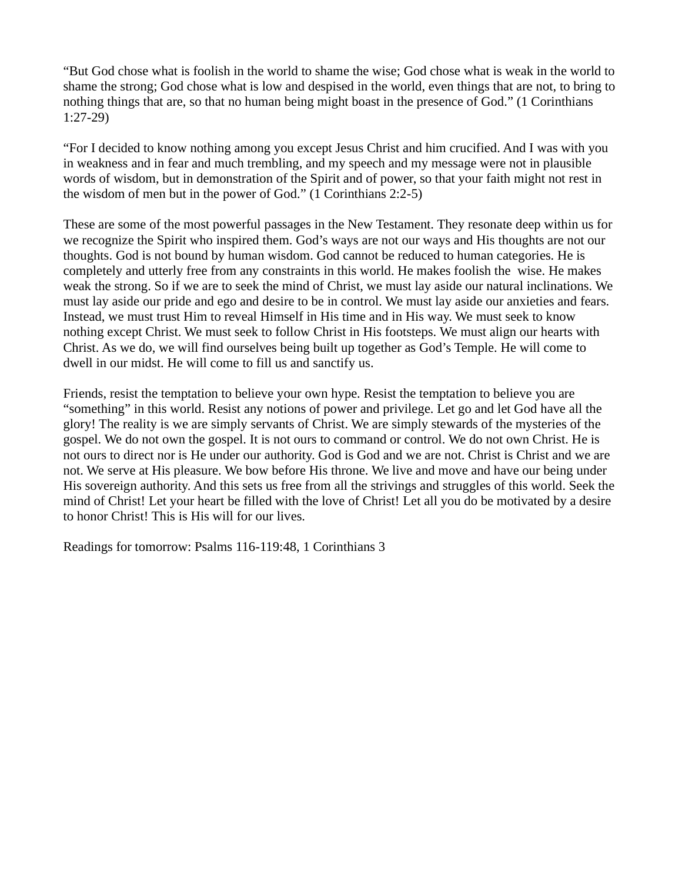"But God chose what is foolish in the world to shame the wise; God chose what is weak in the world to shame the strong; God chose what is low and despised in the world, even things that are not, to bring to nothing things that are, so that no human being might boast in the presence of God." (1 Corinthians 1:27-29)

"For I decided to know nothing among you except Jesus Christ and him crucified. And I was with you in weakness and in fear and much trembling, and my speech and my message were not in plausible words of wisdom, but in demonstration of the Spirit and of power, so that your faith might not rest in the wisdom of men but in the power of God." (1 Corinthians 2:2-5)

These are some of the most powerful passages in the New Testament. They resonate deep within us for we recognize the Spirit who inspired them. God's ways are not our ways and His thoughts are not our thoughts. God is not bound by human wisdom. God cannot be reduced to human categories. He is completely and utterly free from any constraints in this world. He makes foolish the wise. He makes weak the strong. So if we are to seek the mind of Christ, we must lay aside our natural inclinations. We must lay aside our pride and ego and desire to be in control. We must lay aside our anxieties and fears. Instead, we must trust Him to reveal Himself in His time and in His way. We must seek to know nothing except Christ. We must seek to follow Christ in His footsteps. We must align our hearts with Christ. As we do, we will find ourselves being built up together as God's Temple. He will come to dwell in our midst. He will come to fill us and sanctify us.

Friends, resist the temptation to believe your own hype. Resist the temptation to believe you are "something" in this world. Resist any notions of power and privilege. Let go and let God have all the glory! The reality is we are simply servants of Christ. We are simply stewards of the mysteries of the gospel. We do not own the gospel. It is not ours to command or control. We do not own Christ. He is not ours to direct nor is He under our authority. God is God and we are not. Christ is Christ and we are not. We serve at His pleasure. We bow before His throne. We live and move and have our being under His sovereign authority. And this sets us free from all the strivings and struggles of this world. Seek the mind of Christ! Let your heart be filled with the love of Christ! Let all you do be motivated by a desire to honor Christ! This is His will for our lives.

Readings for tomorrow: Psalms 116-119:48, 1 Corinthians 3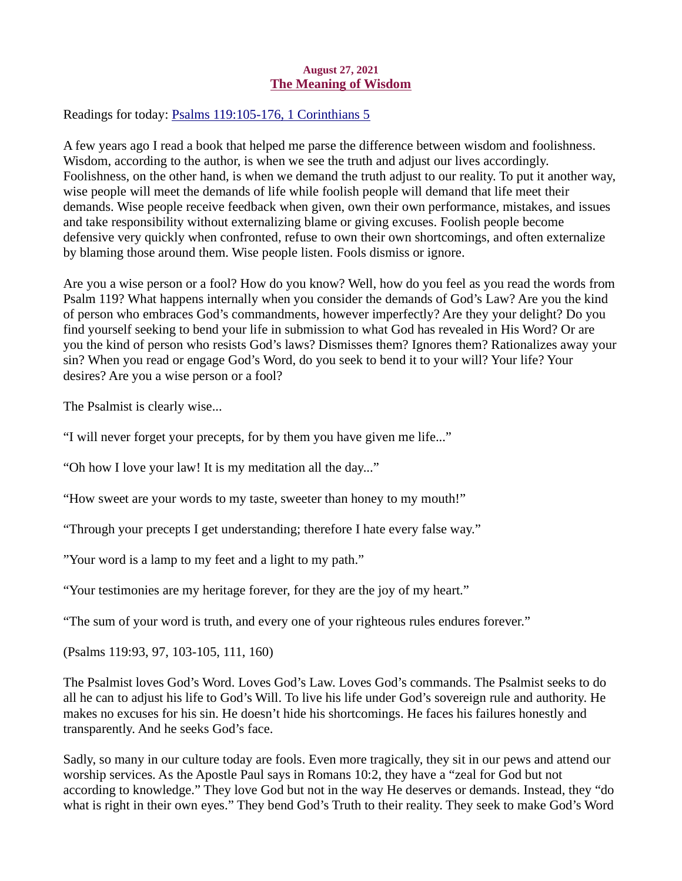#### August 27, 2021 The Meaning of Wisdom

<span id="page-29-0"></span>Readings for today: [Psalms 119:105-176, 1 Corinthians 5](https://www.biblegateway.com/passage/?search=Psalms+119%3A105-176%2C+1+Corinthians+5&version=ESV)

A few years ago I read a book that helped me parse the difference between wisdom and foolishness. Wisdom, according to the author, is when we see the truth and adjust our lives accordingly. Foolishness, on the other hand, is when we demand the truth adjust to our reality. To put it another way, wise people will meet the demands of life while foolish people will demand that life meet their demands. Wise people receive feedback when given, own their own performance, mistakes, and issues and take responsibility without externalizing blame or giving excuses. Foolish people become defensive very quickly when confronted, refuse to own their own shortcomings, and often externalize by blaming those around them. Wise people listen. Fools dismiss or ignore.

Are you a wise person or a fool? How do you know? Well, how do you feel as you read the words from Psalm 119? What happens internally when you consider the demands of God's Law? Are you the kind of person who embraces God's commandments, however imperfectly? Are they your delight? Do you find yourself seeking to bend your life in submission to what God has revealed in His Word? Or are you the kind of person who resists God's laws? Dismisses them? Ignores them? Rationalizes away your sin? When you read or engage God's Word, do you seek to bend it to your will? Your life? Your desires? Are you a wise person or a fool?

The Psalmist is clearly wise...

"I will never forget your precepts, for by them you have given me life..."

"Oh how I love your law! It is my meditation all the day..."

"How sweet are your words to my taste, sweeter than honey to my mouth!"

"Through your precepts I get understanding; therefore I hate every false way."

"Your word is a lamp to my feet and a light to my path."

"Your testimonies are my heritage forever, for they are the joy of my heart."

"The sum of your word is truth, and every one of your righteous rules endures forever."

(Psalms 119:93, 97, 103-105, 111, 160)

The Psalmist loves God's Word. Loves God's Law. Loves God's commands. The Psalmist seeks to do all he can to adjust his life to God's Will. To live his life under God's sovereign rule and authority. He makes no excuses for his sin. He doesn't hide his shortcomings. He faces his failures honestly and transparently. And he seeks God's face.

Sadly, so many in our culture today are fools. Even more tragically, they sit in our pews and attend our worship services. As the Apostle Paul says in Romans 10:2, they have a "zeal for God but not according to knowledge." They love God but not in the way He deserves or demands. Instead, they "do what is right in their own eyes." They bend God's Truth to their reality. They seek to make God's Word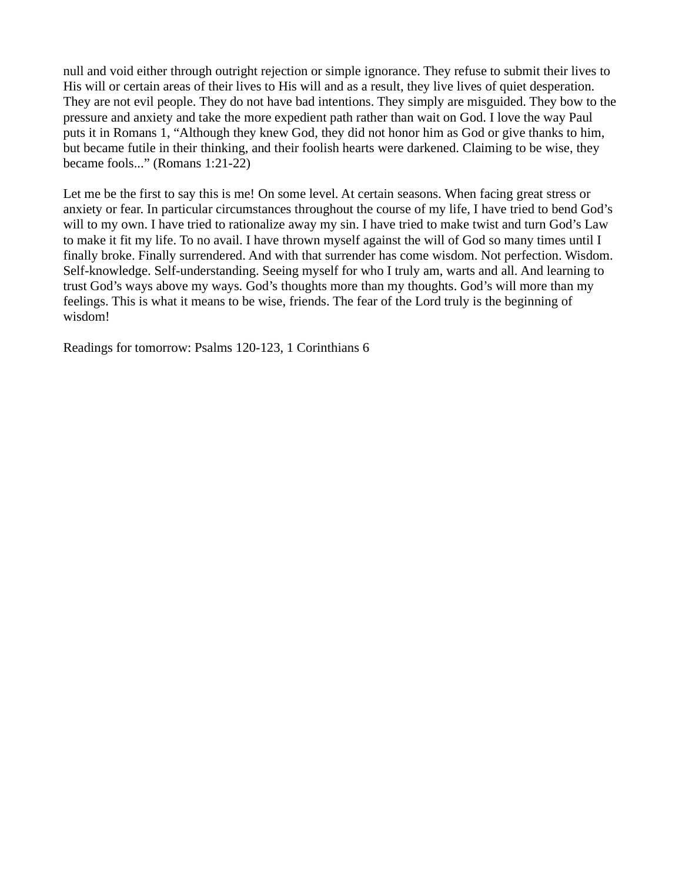null and void either through outright rejection or simple ignorance. They refuse to submit their lives to His will or certain areas of their lives to His will and as a result, they live lives of quiet desperation. They are not evil people. They do not have bad intentions. They simply are misguided. They bow to the pressure and anxiety and take the more expedient path rather than wait on God. I love the way Paul puts it in Romans 1, "Although they knew God, they did not honor him as God or give thanks to him, but became futile in their thinking, and their foolish hearts were darkened. Claiming to be wise, they became fools..." (Romans 1:21-22)

Let me be the first to say this is me! On some level. At certain seasons. When facing great stress or anxiety or fear. In particular circumstances throughout the course of my life, I have tried to bend God's will to my own. I have tried to rationalize away my sin. I have tried to make twist and turn God's Law to make it fit my life. To no avail. I have thrown myself against the will of God so many times until I finally broke. Finally surrendered. And with that surrender has come wisdom. Not perfection. Wisdom. Self-knowledge. Self-understanding. Seeing myself for who I truly am, warts and all. And learning to trust God's ways above my ways. God's thoughts more than my thoughts. God's will more than my feelings. This is what it means to be wise, friends. The fear of the Lord truly is the beginning of wisdom!

Readings for tomorrow: Psalms 120-123, 1 Corinthians 6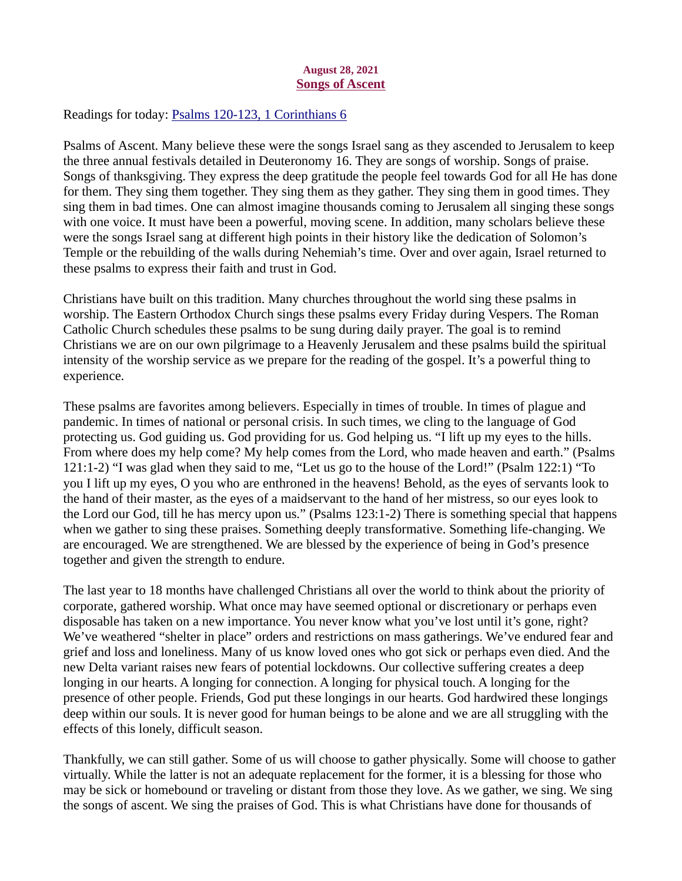## August 28, 2021 Songs of Ascent

<span id="page-31-0"></span>Readings for today: [Psalms 120-123, 1 Corinthians 6](https://www.biblegateway.com/passage/?search=Psalms+120-123%2C+1+Corinthians+6&version=ESV)

Psalms of Ascent. Many believe these were the songs Israel sang as they ascended to Jerusalem to keep the three annual festivals detailed in Deuteronomy 16. They are songs of worship. Songs of praise. Songs of thanksgiving. They express the deep gratitude the people feel towards God for all He has done for them. They sing them together. They sing them as they gather. They sing them in good times. They sing them in bad times. One can almost imagine thousands coming to Jerusalem all singing these songs with one voice. It must have been a powerful, moving scene. In addition, many scholars believe these were the songs Israel sang at different high points in their history like the dedication of Solomon's Temple or the rebuilding of the walls during Nehemiah's time. Over and over again, Israel returned to these psalms to express their faith and trust in God.

Christians have built on this tradition. Many churches throughout the world sing these psalms in worship. The Eastern Orthodox Church sings these psalms every Friday during Vespers. The Roman Catholic Church schedules these psalms to be sung during daily prayer. The goal is to remind Christians we are on our own pilgrimage to a Heavenly Jerusalem and these psalms build the spiritual intensity of the worship service as we prepare for the reading of the gospel. It's a powerful thing to experience.

These psalms are favorites among believers. Especially in times of trouble. In times of plague and pandemic. In times of national or personal crisis. In such times, we cling to the language of God protecting us. God guiding us. God providing for us. God helping us. "I lift up my eyes to the hills. From where does my help come? My help comes from the Lord, who made heaven and earth." (Psalms 121:1-2) "I was glad when they said to me, "Let us go to the house of the Lord!" (Psalm 122:1) "To you I lift up my eyes, O you who are enthroned in the heavens! Behold, as the eyes of servants look to the hand of their master, as the eyes of a maidservant to the hand of her mistress, so our eyes look to the Lord our God, till he has mercy upon us." (Psalms 123:1-2) There is something special that happens when we gather to sing these praises. Something deeply transformative. Something life-changing. We are encouraged. We are strengthened. We are blessed by the experience of being in God's presence together and given the strength to endure.

The last year to 18 months have challenged Christians all over the world to think about the priority of corporate, gathered worship. What once may have seemed optional or discretionary or perhaps even disposable has taken on a new importance. You never know what you've lost until it's gone, right? We've weathered "shelter in place" orders and restrictions on mass gatherings. We've endured fear and grief and loss and loneliness. Many of us know loved ones who got sick or perhaps even died. And the new Delta variant raises new fears of potential lockdowns. Our collective suffering creates a deep longing in our hearts. A longing for connection. A longing for physical touch. A longing for the presence of other people. Friends, God put these longings in our hearts. God hardwired these longings deep within our souls. It is never good for human beings to be alone and we are all struggling with the effects of this lonely, difficult season.

Thankfully, we can still gather. Some of us will choose to gather physically. Some will choose to gather virtually. While the latter is not an adequate replacement for the former, it is a blessing for those who may be sick or homebound or traveling or distant from those they love. As we gather, we sing. We sing the songs of ascent. We sing the praises of God. This is what Christians have done for thousands of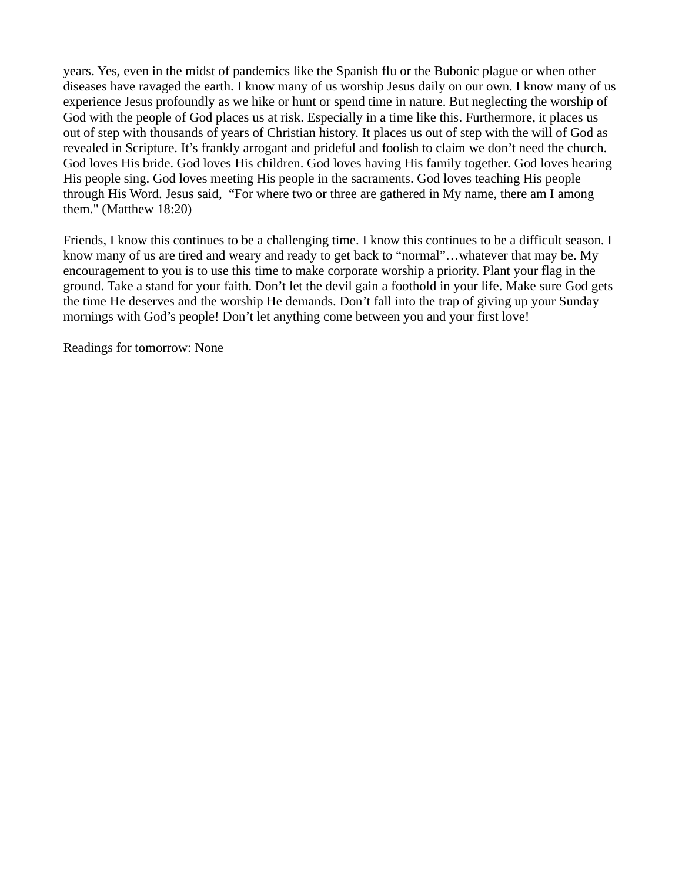years. Yes, even in the midst of pandemics like the Spanish flu or the Bubonic plague or when other diseases have ravaged the earth. I know many of us worship Jesus daily on our own. I know many of us experience Jesus profoundly as we hike or hunt or spend time in nature. But neglecting the worship of God with the people of God places us at risk. Especially in a time like this. Furthermore, it places us out of step with thousands of years of Christian history. It places us out of step with the will of God as revealed in Scripture. It's frankly arrogant and prideful and foolish to claim we don't need the church. God loves His bride. God loves His children. God loves having His family together. God loves hearing His people sing. God loves meeting His people in the sacraments. God loves teaching His people through His Word. Jesus said, "For where two or three are gathered in My name, there am I among them." (Matthew 18:20)

Friends, I know this continues to be a challenging time. I know this continues to be a difficult season. I know many of us are tired and weary and ready to get back to "normal"…whatever that may be. My encouragement to you is to use this time to make corporate worship a priority. Plant your flag in the ground. Take a stand for your faith. Don't let the devil gain a foothold in your life. Make sure God gets the time He deserves and the worship He demands. Don't fall into the trap of giving up your Sunday mornings with God's people! Don't let anything come between you and your first love!

Readings for tomorrow: None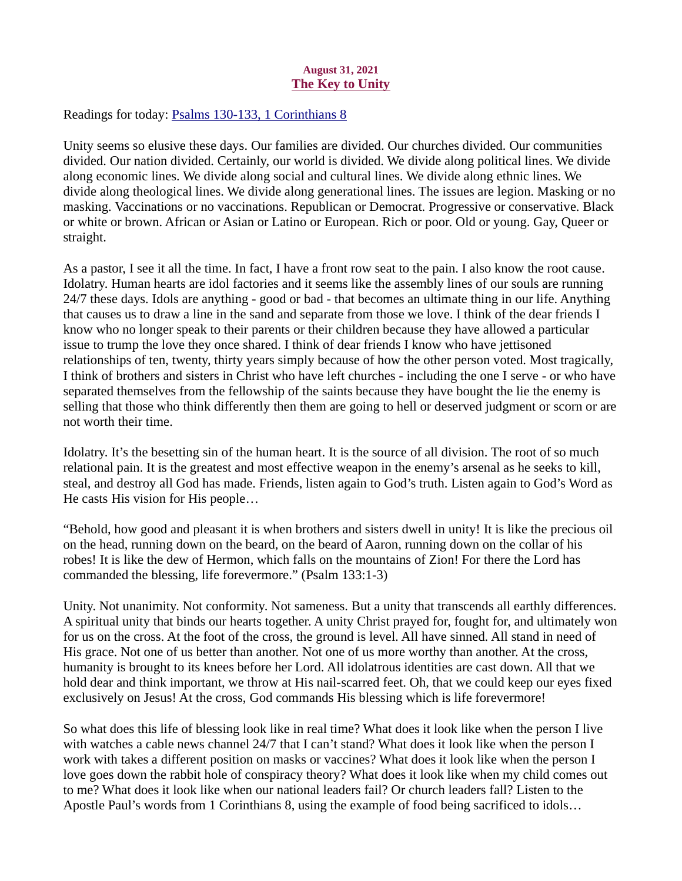## August 31, 2021 The Key to Unity

<span id="page-33-0"></span>Readings for today: [Psalms 130-133, 1 Corinthians 8](https://www.biblegateway.com/passage/?search=Psalms+130-133%2C+1+Corinthians+8&version=NKJV)

Unity seems so elusive these days. Our families are divided. Our churches divided. Our communities divided. Our nation divided. Certainly, our world is divided. We divide along political lines. We divide along economic lines. We divide along social and cultural lines. We divide along ethnic lines. We divide along theological lines. We divide along generational lines. The issues are legion. Masking or no masking. Vaccinations or no vaccinations. Republican or Democrat. Progressive or conservative. Black or white or brown. African or Asian or Latino or European. Rich or poor. Old or young. Gay, Queer or straight.

As a pastor, I see it all the time. In fact, I have a front row seat to the pain. I also know the root cause. Idolatry. Human hearts are idol factories and it seems like the assembly lines of our souls are running 24/7 these days. Idols are anything - good or bad - that becomes an ultimate thing in our life. Anything that causes us to draw a line in the sand and separate from those we love. I think of the dear friends I know who no longer speak to their parents or their children because they have allowed a particular issue to trump the love they once shared. I think of dear friends I know who have jettisoned relationships of ten, twenty, thirty years simply because of how the other person voted. Most tragically, I think of brothers and sisters in Christ who have left churches - including the one I serve - or who have separated themselves from the fellowship of the saints because they have bought the lie the enemy is selling that those who think differently then them are going to hell or deserved judgment or scorn or are not worth their time.

Idolatry. It's the besetting sin of the human heart. It is the source of all division. The root of so much relational pain. It is the greatest and most effective weapon in the enemy's arsenal as he seeks to kill, steal, and destroy all God has made. Friends, listen again to God's truth. Listen again to God's Word as He casts His vision for His people…

"Behold, how good and pleasant it is when brothers and sisters dwell in unity! It is like the precious oil on the head, running down on the beard, on the beard of Aaron, running down on the collar of his robes! It is like the dew of Hermon, which falls on the mountains of Zion! For there the Lord has commanded the blessing, life forevermore." (Psalm 133:1-3)

Unity. Not unanimity. Not conformity. Not sameness. But a unity that transcends all earthly differences. A spiritual unity that binds our hearts together. A unity Christ prayed for, fought for, and ultimately won for us on the cross. At the foot of the cross, the ground is level. All have sinned. All stand in need of His grace. Not one of us better than another. Not one of us more worthy than another. At the cross, humanity is brought to its knees before her Lord. All idolatrous identities are cast down. All that we hold dear and think important, we throw at His nail-scarred feet. Oh, that we could keep our eyes fixed exclusively on Jesus! At the cross, God commands His blessing which is life forevermore!

So what does this life of blessing look like in real time? What does it look like when the person I live with watches a cable news channel 24/7 that I can't stand? What does it look like when the person I work with takes a different position on masks or vaccines? What does it look like when the person I love goes down the rabbit hole of conspiracy theory? What does it look like when my child comes out to me? What does it look like when our national leaders fail? Or church leaders fall? Listen to the Apostle Paul's words from 1 Corinthians 8, using the example of food being sacrificed to idols…